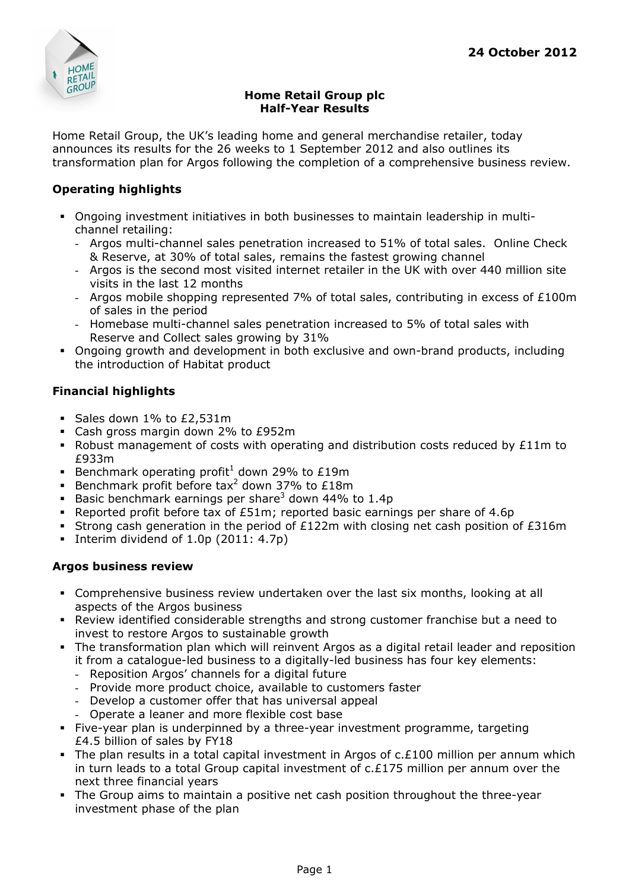

## Home Retail Group plc Half-Year Results

Home Retail Group, the UK's leading home and general merchandise retailer, today announces its results for the 26 weeks to 1 September 2012 and also outlines its transformation plan for Argos following the completion of a comprehensive business review.

## Operating highlights

- Ongoing investment initiatives in both businesses to maintain leadership in multichannel retailing:
	- Argos multi-channel sales penetration increased to 51% of total sales. Online Check & Reserve, at 30% of total sales, remains the fastest growing channel
	- Argos is the second most visited internet retailer in the UK with over 440 million site visits in the last 12 months
	- Argos mobile shopping represented 7% of total sales, contributing in excess of  $£100m$ of sales in the period
	- Homebase multi-channel sales penetration increased to 5% of total sales with Reserve and Collect sales growing by 31%
- Ongoing growth and development in both exclusive and own-brand products, including the introduction of Habitat product

# Financial highlights

- Sales down 1% to £2,531m
- Cash gross margin down 2% to £952m
- Robust management of costs with operating and distribution costs reduced by £11m to £933m
- Benchmark operating profit<sup>1</sup> down 29% to £19m
- Benchmark profit before tax<sup>2</sup> down 37% to £18m
- Basic benchmark earnings per share<sup>3</sup> down 44% to 1.4p
- Reported profit before tax of £51m; reported basic earnings per share of 4.6p
- Strong cash generation in the period of £122m with closing net cash position of £316m
- Interim dividend of  $1.0p$  (2011:  $4.7p$ )

## Argos business review

- Comprehensive business review undertaken over the last six months, looking at all aspects of the Argos business
- Review identified considerable strengths and strong customer franchise but a need to invest to restore Argos to sustainable growth
- The transformation plan which will reinvent Argos as a digital retail leader and reposition it from a catalogue-led business to a digitally-led business has four key elements:
	- Reposition Argos' channels for a digital future
	- Provide more product choice, available to customers faster
	- Develop a customer offer that has universal appeal
	- Operate a leaner and more flexible cost base
- Five-year plan is underpinned by a three-year investment programme, targeting £4.5 billion of sales by FY18
- The plan results in a total capital investment in Argos of  $c.E100$  million per annum which in turn leads to a total Group capital investment of  $c.E175$  million per annum over the next three financial years
- The Group aims to maintain a positive net cash position throughout the three-year investment phase of the plan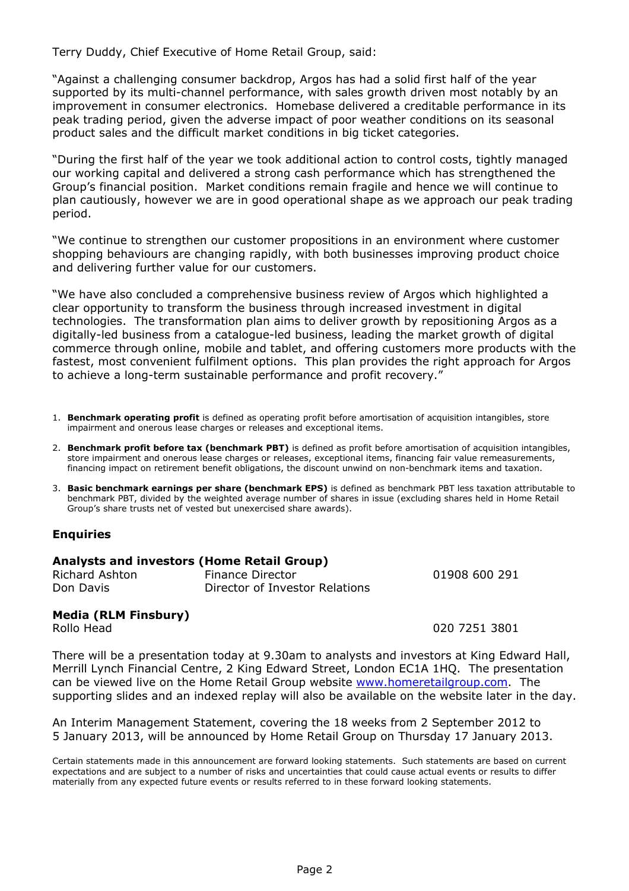Terry Duddy, Chief Executive of Home Retail Group, said:

"Against a challenging consumer backdrop, Argos has had a solid first half of the year supported by its multi-channel performance, with sales growth driven most notably by an improvement in consumer electronics. Homebase delivered a creditable performance in its peak trading period, given the adverse impact of poor weather conditions on its seasonal product sales and the difficult market conditions in big ticket categories.

"During the first half of the year we took additional action to control costs, tightly managed our working capital and delivered a strong cash performance which has strengthened the Group's financial position. Market conditions remain fragile and hence we will continue to plan cautiously, however we are in good operational shape as we approach our peak trading period.

"We continue to strengthen our customer propositions in an environment where customer shopping behaviours are changing rapidly, with both businesses improving product choice and delivering further value for our customers.

"We have also concluded a comprehensive business review of Argos which highlighted a clear opportunity to transform the business through increased investment in digital technologies. The transformation plan aims to deliver growth by repositioning Argos as a digitally-led business from a catalogue-led business, leading the market growth of digital commerce through online, mobile and tablet, and offering customers more products with the fastest, most convenient fulfilment options. This plan provides the right approach for Argos to achieve a long-term sustainable performance and profit recovery."

- 1. Benchmark operating profit is defined as operating profit before amortisation of acquisition intangibles, store impairment and onerous lease charges or releases and exceptional items.
- 2. Benchmark profit before tax (benchmark PBT) is defined as profit before amortisation of acquisition intangibles, store impairment and onerous lease charges or releases, exceptional items, financing fair value remeasurements, financing impact on retirement benefit obligations, the discount unwind on non-benchmark items and taxation.
- 3. Basic benchmark earnings per share (benchmark EPS) is defined as benchmark PBT less taxation attributable to benchmark PBT, divided by the weighted average number of shares in issue (excluding shares held in Home Retail Group's share trusts net of vested but unexercised share awards).

## **Enquiries**

#### Analysts and investors (Home Retail Group)

| <b>Richard Ashton</b> | Finance Director               | 01908 600 291 |
|-----------------------|--------------------------------|---------------|
| Don Davis             | Director of Investor Relations |               |

## Media (RLM Finsbury)

Rollo Head 020 7251 3801

There will be a presentation today at 9.30am to analysts and investors at King Edward Hall, Merrill Lynch Financial Centre, 2 King Edward Street, London EC1A 1HQ. The presentation can be viewed live on the Home Retail Group website www.homeretailgroup.com. The supporting slides and an indexed replay will also be available on the website later in the day.

An Interim Management Statement, covering the 18 weeks from 2 September 2012 to 5 January 2013, will be announced by Home Retail Group on Thursday 17 January 2013.

Certain statements made in this announcement are forward looking statements. Such statements are based on current expectations and are subject to a number of risks and uncertainties that could cause actual events or results to differ materially from any expected future events or results referred to in these forward looking statements.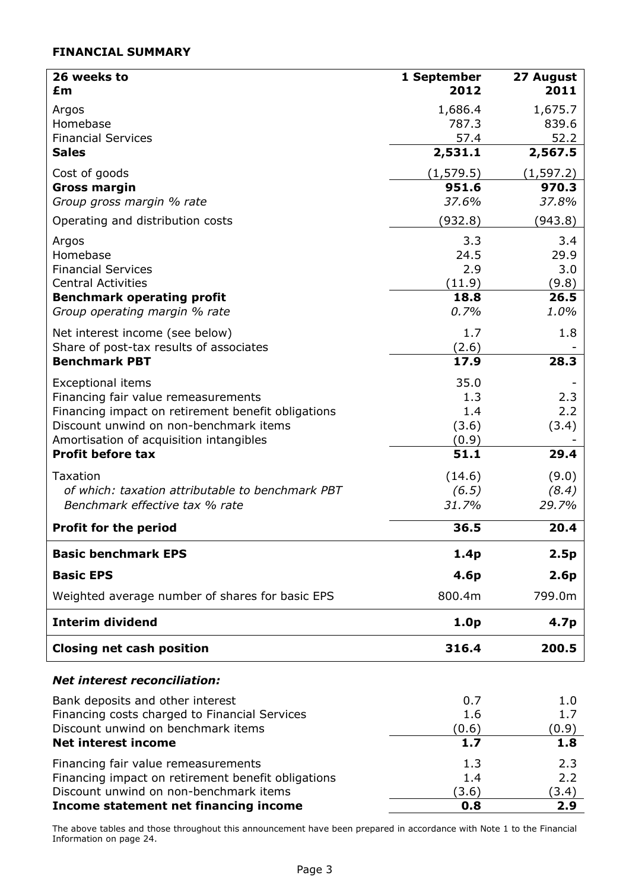## FINANCIAL SUMMARY

| 26 weeks to                                            | 1 September      | 27 August        |
|--------------------------------------------------------|------------------|------------------|
| £m                                                     | 2012             | 2011             |
| Argos                                                  | 1,686.4          | 1,675.7          |
| Homebase                                               | 787.3            | 839.6            |
| <b>Financial Services</b>                              | 57.4             | 52.2             |
| <b>Sales</b>                                           | 2,531.1          | 2,567.5          |
| Cost of goods                                          | (1, 579.5)       | (1, 597.2)       |
| <b>Gross margin</b>                                    | 951.6            | 970.3<br>37.8%   |
| Group gross margin % rate                              | 37.6%            |                  |
| Operating and distribution costs                       | (932.8)          | (943.8)          |
| Argos                                                  | 3.3              | 3.4              |
| Homebase                                               | 24.5             | 29.9             |
| <b>Financial Services</b><br><b>Central Activities</b> | 2.9<br>(11.9)    | 3.0              |
| <b>Benchmark operating profit</b>                      | 18.8             | (9.8)<br>26.5    |
| Group operating margin % rate                          | 0.7%             | 1.0%             |
| Net interest income (see below)                        | 1.7              | 1.8              |
| Share of post-tax results of associates                | (2.6)            |                  |
| <b>Benchmark PBT</b>                                   | 17.9             | 28.3             |
| <b>Exceptional items</b>                               | 35.0             |                  |
| Financing fair value remeasurements                    | 1.3              | 2.3              |
| Financing impact on retirement benefit obligations     | 1.4              | 2.2              |
| Discount unwind on non-benchmark items                 | (3.6)            | (3.4)            |
| Amortisation of acquisition intangibles                | (0.9)            |                  |
| <b>Profit before tax</b>                               | 51.1             | 29.4             |
| Taxation                                               | (14.6)           | (9.0)            |
| of which: taxation attributable to benchmark PBT       | (6.5)            | (8.4)            |
| Benchmark effective tax % rate                         | 31.7%            | 29.7%            |
| <b>Profit for the period</b>                           | 36.5             | 20.4             |
| <b>Basic benchmark EPS</b>                             | 1.4p             | 2.5p             |
| <b>Basic EPS</b>                                       | 4.6p             | 2.6 <sub>p</sub> |
| Weighted average number of shares for basic EPS        | 800.4m           | 799.0m           |
| <b>Interim dividend</b>                                | 1.0 <sub>p</sub> | 4.7p             |
| <b>Closing net cash position</b>                       | 316.4            | 200.5            |
|                                                        |                  |                  |
| <b>Net interest reconciliation:</b>                    |                  |                  |
| Bank deposits and other interest                       | 0.7              | 1.0              |
| Financing costs charged to Financial Services          | 1.6              | 1.7              |
| Discount unwind on benchmark items                     | (0.6)            | (0.9)            |
| <b>Net interest income</b>                             | 1.7              | 1.8              |
| Financing fair value remeasurements                    | 1.3              | 2.3              |
| Financing impact on retirement benefit obligations     | 1.4              | 2.2              |
| Discount unwind on non-benchmark items                 | (3.6)            | (3.4)            |
| Income statement net financing income                  | 0.8              | 2.9              |

The above tables and those throughout this announcement have been prepared in accordance with Note 1 to the Financial Information on page 24.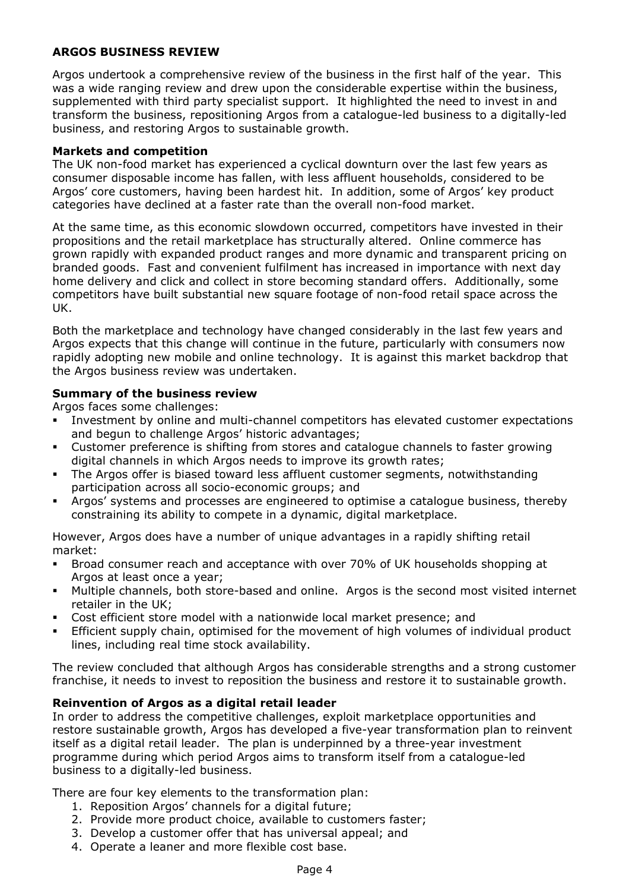## ARGOS BUSINESS REVIEW

Argos undertook a comprehensive review of the business in the first half of the year. This was a wide ranging review and drew upon the considerable expertise within the business, supplemented with third party specialist support. It highlighted the need to invest in and transform the business, repositioning Argos from a catalogue-led business to a digitally-led business, and restoring Argos to sustainable growth.

## Markets and competition

The UK non-food market has experienced a cyclical downturn over the last few years as consumer disposable income has fallen, with less affluent households, considered to be Argos' core customers, having been hardest hit. In addition, some of Argos' key product categories have declined at a faster rate than the overall non-food market.

At the same time, as this economic slowdown occurred, competitors have invested in their propositions and the retail marketplace has structurally altered. Online commerce has grown rapidly with expanded product ranges and more dynamic and transparent pricing on branded goods. Fast and convenient fulfilment has increased in importance with next day home delivery and click and collect in store becoming standard offers. Additionally, some competitors have built substantial new square footage of non-food retail space across the UK.

Both the marketplace and technology have changed considerably in the last few years and Argos expects that this change will continue in the future, particularly with consumers now rapidly adopting new mobile and online technology. It is against this market backdrop that the Argos business review was undertaken.

## Summary of the business review

Argos faces some challenges:

- Investment by online and multi-channel competitors has elevated customer expectations and begun to challenge Argos' historic advantages;
- Customer preference is shifting from stores and catalogue channels to faster growing digital channels in which Argos needs to improve its growth rates;
- The Argos offer is biased toward less affluent customer segments, notwithstanding participation across all socio-economic groups; and
- Argos' systems and processes are engineered to optimise a catalogue business, thereby constraining its ability to compete in a dynamic, digital marketplace.

However, Argos does have a number of unique advantages in a rapidly shifting retail market:

- Broad consumer reach and acceptance with over 70% of UK households shopping at Argos at least once a year;
- Multiple channels, both store-based and online. Argos is the second most visited internet retailer in the UK;
- Cost efficient store model with a nationwide local market presence; and
- Efficient supply chain, optimised for the movement of high volumes of individual product lines, including real time stock availability.

The review concluded that although Argos has considerable strengths and a strong customer franchise, it needs to invest to reposition the business and restore it to sustainable growth.

## Reinvention of Argos as a digital retail leader

In order to address the competitive challenges, exploit marketplace opportunities and restore sustainable growth, Argos has developed a five-year transformation plan to reinvent itself as a digital retail leader. The plan is underpinned by a three-year investment programme during which period Argos aims to transform itself from a catalogue-led business to a digitally-led business.

There are four key elements to the transformation plan:

- 1. Reposition Argos' channels for a digital future;
- 2. Provide more product choice, available to customers faster;
- 3. Develop a customer offer that has universal appeal; and
- 4. Operate a leaner and more flexible cost base.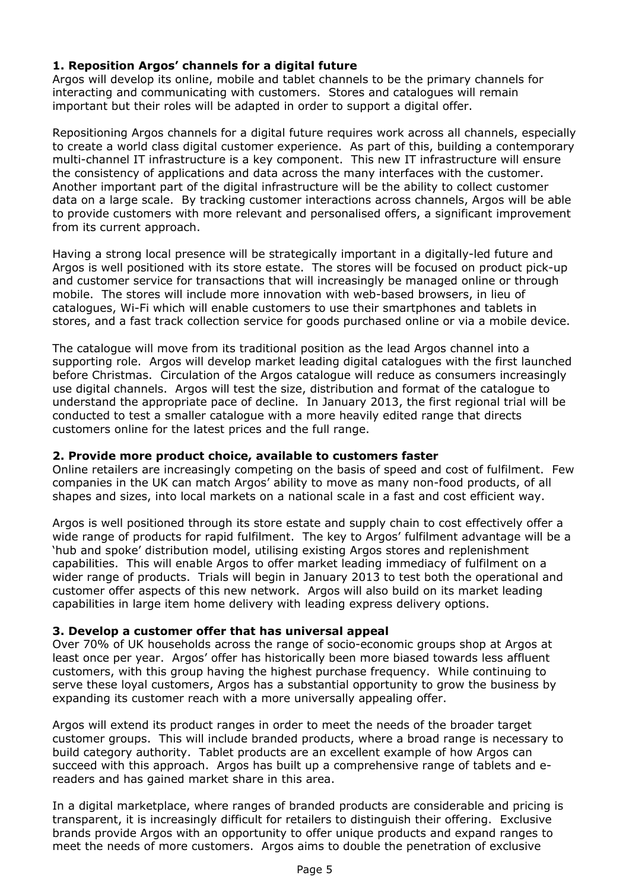## 1. Reposition Argos' channels for a digital future

Argos will develop its online, mobile and tablet channels to be the primary channels for interacting and communicating with customers. Stores and catalogues will remain important but their roles will be adapted in order to support a digital offer.

Repositioning Argos channels for a digital future requires work across all channels, especially to create a world class digital customer experience. As part of this, building a contemporary multi-channel IT infrastructure is a key component. This new IT infrastructure will ensure the consistency of applications and data across the many interfaces with the customer. Another important part of the digital infrastructure will be the ability to collect customer data on a large scale. By tracking customer interactions across channels, Argos will be able to provide customers with more relevant and personalised offers, a significant improvement from its current approach.

Having a strong local presence will be strategically important in a digitally-led future and Argos is well positioned with its store estate. The stores will be focused on product pick-up and customer service for transactions that will increasingly be managed online or through mobile. The stores will include more innovation with web-based browsers, in lieu of catalogues, Wi-Fi which will enable customers to use their smartphones and tablets in stores, and a fast track collection service for goods purchased online or via a mobile device.

The catalogue will move from its traditional position as the lead Argos channel into a supporting role. Argos will develop market leading digital catalogues with the first launched before Christmas. Circulation of the Argos catalogue will reduce as consumers increasingly use digital channels. Argos will test the size, distribution and format of the catalogue to understand the appropriate pace of decline. In January 2013, the first regional trial will be conducted to test a smaller catalogue with a more heavily edited range that directs customers online for the latest prices and the full range.

## 2. Provide more product choice, available to customers faster

Online retailers are increasingly competing on the basis of speed and cost of fulfilment. Few companies in the UK can match Argos' ability to move as many non-food products, of all shapes and sizes, into local markets on a national scale in a fast and cost efficient way.

Argos is well positioned through its store estate and supply chain to cost effectively offer a wide range of products for rapid fulfilment. The key to Argos' fulfilment advantage will be a 'hub and spoke' distribution model, utilising existing Argos stores and replenishment capabilities. This will enable Argos to offer market leading immediacy of fulfilment on a wider range of products. Trials will begin in January 2013 to test both the operational and customer offer aspects of this new network. Argos will also build on its market leading capabilities in large item home delivery with leading express delivery options.

## 3. Develop a customer offer that has universal appeal

Over 70% of UK households across the range of socio-economic groups shop at Argos at least once per year. Argos' offer has historically been more biased towards less affluent customers, with this group having the highest purchase frequency. While continuing to serve these loyal customers, Argos has a substantial opportunity to grow the business by expanding its customer reach with a more universally appealing offer.

Argos will extend its product ranges in order to meet the needs of the broader target customer groups. This will include branded products, where a broad range is necessary to build category authority. Tablet products are an excellent example of how Argos can succeed with this approach. Argos has built up a comprehensive range of tablets and ereaders and has gained market share in this area.

In a digital marketplace, where ranges of branded products are considerable and pricing is transparent, it is increasingly difficult for retailers to distinguish their offering. Exclusive brands provide Argos with an opportunity to offer unique products and expand ranges to meet the needs of more customers. Argos aims to double the penetration of exclusive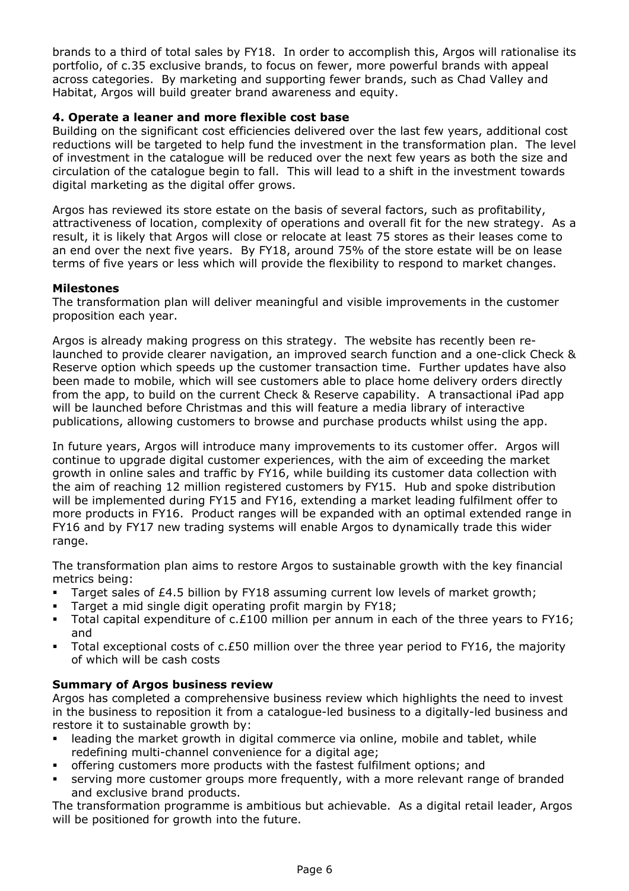brands to a third of total sales by FY18. In order to accomplish this, Argos will rationalise its portfolio, of c.35 exclusive brands, to focus on fewer, more powerful brands with appeal across categories. By marketing and supporting fewer brands, such as Chad Valley and Habitat, Argos will build greater brand awareness and equity.

## 4. Operate a leaner and more flexible cost base

Building on the significant cost efficiencies delivered over the last few years, additional cost reductions will be targeted to help fund the investment in the transformation plan. The level of investment in the catalogue will be reduced over the next few years as both the size and circulation of the catalogue begin to fall. This will lead to a shift in the investment towards digital marketing as the digital offer grows.

Argos has reviewed its store estate on the basis of several factors, such as profitability, attractiveness of location, complexity of operations and overall fit for the new strategy. As a result, it is likely that Argos will close or relocate at least 75 stores as their leases come to an end over the next five years. By FY18, around 75% of the store estate will be on lease terms of five years or less which will provide the flexibility to respond to market changes.

## Milestones

The transformation plan will deliver meaningful and visible improvements in the customer proposition each year.

Argos is already making progress on this strategy. The website has recently been relaunched to provide clearer navigation, an improved search function and a one-click Check & Reserve option which speeds up the customer transaction time. Further updates have also been made to mobile, which will see customers able to place home delivery orders directly from the app, to build on the current Check & Reserve capability. A transactional iPad app will be launched before Christmas and this will feature a media library of interactive publications, allowing customers to browse and purchase products whilst using the app.

In future years, Argos will introduce many improvements to its customer offer. Argos will continue to upgrade digital customer experiences, with the aim of exceeding the market growth in online sales and traffic by FY16, while building its customer data collection with the aim of reaching 12 million registered customers by FY15. Hub and spoke distribution will be implemented during FY15 and FY16, extending a market leading fulfilment offer to more products in FY16. Product ranges will be expanded with an optimal extended range in FY16 and by FY17 new trading systems will enable Argos to dynamically trade this wider range.

The transformation plan aims to restore Argos to sustainable growth with the key financial metrics being:

- Target sales of £4.5 billion by FY18 assuming current low levels of market growth;
- Target a mid single digit operating profit margin by FY18;
- Total capital expenditure of  $c.f100$  million per annum in each of the three years to FY16; and
- Total exceptional costs of  $c.E50$  million over the three year period to FY16, the majority of which will be cash costs

## Summary of Argos business review

Argos has completed a comprehensive business review which highlights the need to invest in the business to reposition it from a catalogue-led business to a digitally-led business and restore it to sustainable growth by:

- leading the market growth in digital commerce via online, mobile and tablet, while redefining multi-channel convenience for a digital age;
- offering customers more products with the fastest fulfilment options; and
- serving more customer groups more frequently, with a more relevant range of branded and exclusive brand products.

The transformation programme is ambitious but achievable. As a digital retail leader, Argos will be positioned for growth into the future.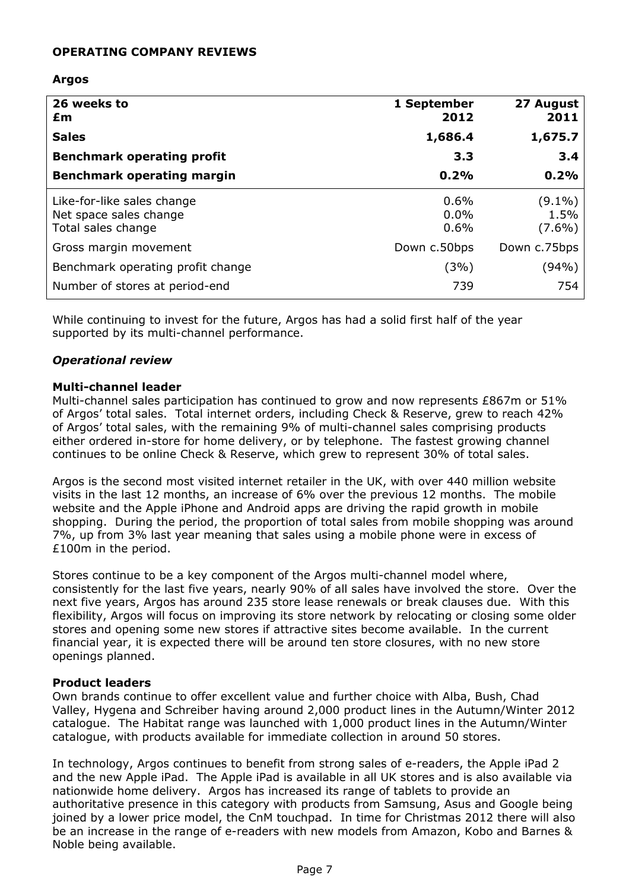## OPERATING COMPANY REVIEWS

## Argos

| 26 weeks to<br>£m                                                          | 1 September<br>2012           | 27 August<br>2011              |
|----------------------------------------------------------------------------|-------------------------------|--------------------------------|
| <b>Sales</b>                                                               | 1,686.4                       | 1,675.7                        |
| <b>Benchmark operating profit</b>                                          | 3.3                           | 3.4                            |
| <b>Benchmark operating margin</b>                                          | 0.2%                          | 0.2%                           |
| Like-for-like sales change<br>Net space sales change<br>Total sales change | $0.6\%$<br>$0.0\%$<br>$0.6\%$ | $(9.1\%)$<br>1.5%<br>$(7.6\%)$ |
| Gross margin movement                                                      | Down c.50bps                  | Down c.75bps                   |
| Benchmark operating profit change                                          | (3%)                          | (94%)                          |
| Number of stores at period-end                                             | 739                           | 754                            |

While continuing to invest for the future, Argos has had a solid first half of the year supported by its multi-channel performance.

## Operational review

#### Multi-channel leader

Multi-channel sales participation has continued to grow and now represents £867m or 51% of Argos' total sales. Total internet orders, including Check & Reserve, grew to reach 42% of Argos' total sales, with the remaining 9% of multi-channel sales comprising products either ordered in-store for home delivery, or by telephone. The fastest growing channel continues to be online Check & Reserve, which grew to represent 30% of total sales.

Argos is the second most visited internet retailer in the UK, with over 440 million website visits in the last 12 months, an increase of 6% over the previous 12 months. The mobile website and the Apple iPhone and Android apps are driving the rapid growth in mobile shopping. During the period, the proportion of total sales from mobile shopping was around 7%, up from 3% last year meaning that sales using a mobile phone were in excess of £100m in the period.

Stores continue to be a key component of the Argos multi-channel model where, consistently for the last five years, nearly 90% of all sales have involved the store. Over the next five years, Argos has around 235 store lease renewals or break clauses due. With this flexibility, Argos will focus on improving its store network by relocating or closing some older stores and opening some new stores if attractive sites become available. In the current financial year, it is expected there will be around ten store closures, with no new store openings planned.

#### Product leaders

Own brands continue to offer excellent value and further choice with Alba, Bush, Chad Valley, Hygena and Schreiber having around 2,000 product lines in the Autumn/Winter 2012 catalogue. The Habitat range was launched with 1,000 product lines in the Autumn/Winter catalogue, with products available for immediate collection in around 50 stores.

In technology, Argos continues to benefit from strong sales of e-readers, the Apple iPad 2 and the new Apple iPad. The Apple iPad is available in all UK stores and is also available via nationwide home delivery. Argos has increased its range of tablets to provide an authoritative presence in this category with products from Samsung, Asus and Google being joined by a lower price model, the CnM touchpad. In time for Christmas 2012 there will also be an increase in the range of e-readers with new models from Amazon, Kobo and Barnes & Noble being available.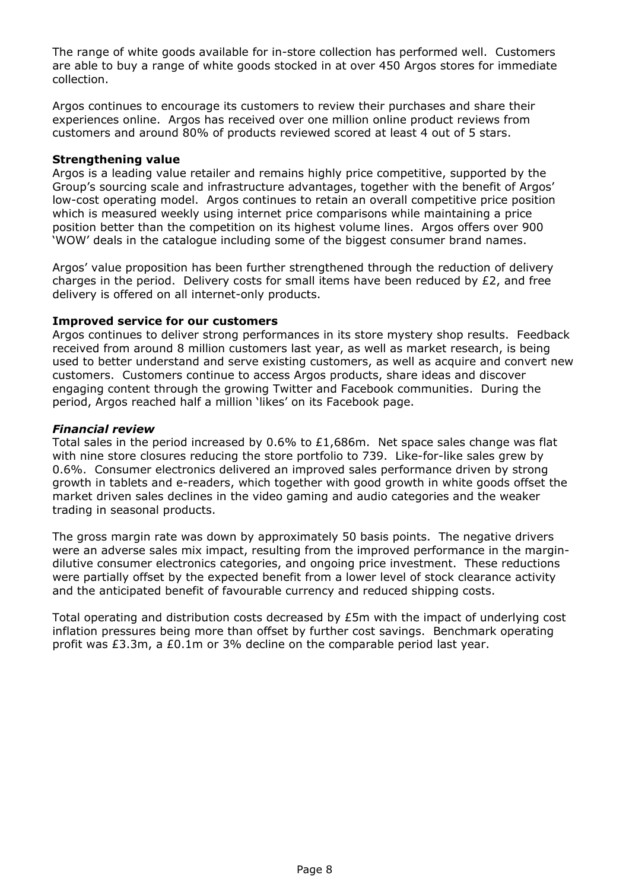The range of white goods available for in-store collection has performed well. Customers are able to buy a range of white goods stocked in at over 450 Argos stores for immediate collection.

Argos continues to encourage its customers to review their purchases and share their experiences online. Argos has received over one million online product reviews from customers and around 80% of products reviewed scored at least 4 out of 5 stars.

## Strengthening value

Argos is a leading value retailer and remains highly price competitive, supported by the Group's sourcing scale and infrastructure advantages, together with the benefit of Argos' low-cost operating model. Argos continues to retain an overall competitive price position which is measured weekly using internet price comparisons while maintaining a price position better than the competition on its highest volume lines. Argos offers over 900 'WOW' deals in the catalogue including some of the biggest consumer brand names.

Argos' value proposition has been further strengthened through the reduction of delivery charges in the period. Delivery costs for small items have been reduced by  $E2$ , and free delivery is offered on all internet-only products.

### Improved service for our customers

Argos continues to deliver strong performances in its store mystery shop results. Feedback received from around 8 million customers last year, as well as market research, is being used to better understand and serve existing customers, as well as acquire and convert new customers. Customers continue to access Argos products, share ideas and discover engaging content through the growing Twitter and Facebook communities. During the period, Argos reached half a million 'likes' on its Facebook page.

### Financial review

Total sales in the period increased by 0.6% to £1,686m. Net space sales change was flat with nine store closures reducing the store portfolio to 739. Like-for-like sales grew by 0.6%. Consumer electronics delivered an improved sales performance driven by strong growth in tablets and e-readers, which together with good growth in white goods offset the market driven sales declines in the video gaming and audio categories and the weaker trading in seasonal products.

The gross margin rate was down by approximately 50 basis points. The negative drivers were an adverse sales mix impact, resulting from the improved performance in the margindilutive consumer electronics categories, and ongoing price investment. These reductions were partially offset by the expected benefit from a lower level of stock clearance activity and the anticipated benefit of favourable currency and reduced shipping costs.

Total operating and distribution costs decreased by  $E5m$  with the impact of underlying cost inflation pressures being more than offset by further cost savings. Benchmark operating profit was £3.3m, a £0.1m or 3% decline on the comparable period last year.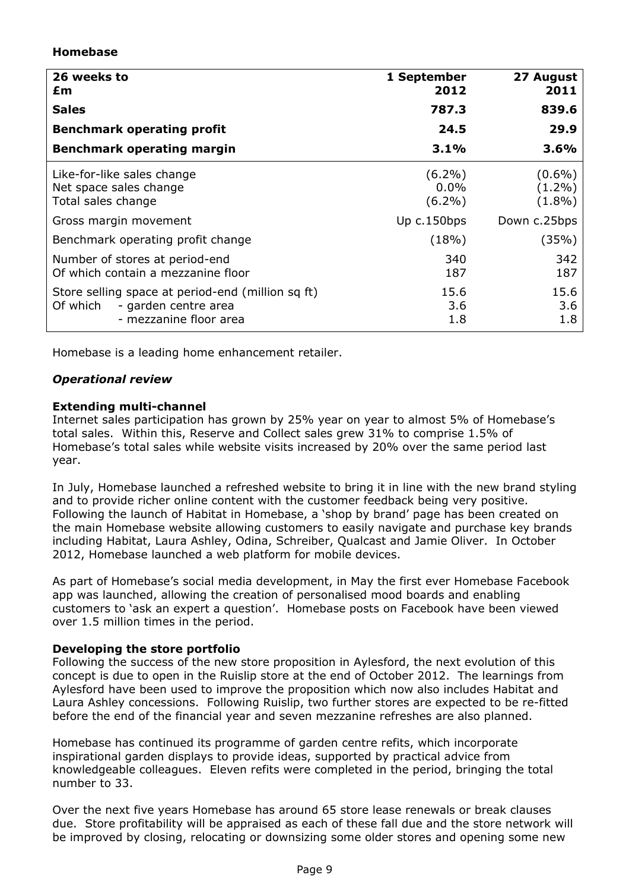## Homebase

| 26 weeks to<br>£m                                                                                               | 1 September<br>2012               | 27 August<br>2011                   |
|-----------------------------------------------------------------------------------------------------------------|-----------------------------------|-------------------------------------|
| <b>Sales</b>                                                                                                    | 787.3                             | 839.6                               |
| <b>Benchmark operating profit</b>                                                                               | 24.5                              | 29.9                                |
| <b>Benchmark operating margin</b>                                                                               | 3.1%                              | 3.6%                                |
| Like-for-like sales change<br>Net space sales change<br>Total sales change                                      | $(6.2\%)$<br>$0.0\%$<br>$(6.2\%)$ | $(0.6\%)$<br>$(1.2\%)$<br>$(1.8\%)$ |
| Gross margin movement                                                                                           | Up $c.150$ bps                    | Down c.25bps                        |
| Benchmark operating profit change                                                                               | (18%)                             | (35%)                               |
| Number of stores at period-end<br>Of which contain a mezzanine floor                                            | 340<br>187                        | 342<br>187                          |
| Store selling space at period-end (million sq ft)<br>Of which<br>- garden centre area<br>- mezzanine floor area | 15.6<br>3.6<br>1.8                | 15.6<br>3.6<br>1.8                  |

Homebase is a leading home enhancement retailer.

## Operational review

## Extending multi-channel

Internet sales participation has grown by 25% year on year to almost 5% of Homebase's total sales. Within this, Reserve and Collect sales grew 31% to comprise 1.5% of Homebase's total sales while website visits increased by 20% over the same period last year.

In July, Homebase launched a refreshed website to bring it in line with the new brand styling and to provide richer online content with the customer feedback being very positive. Following the launch of Habitat in Homebase, a 'shop by brand' page has been created on the main Homebase website allowing customers to easily navigate and purchase key brands including Habitat, Laura Ashley, Odina, Schreiber, Qualcast and Jamie Oliver. In October 2012, Homebase launched a web platform for mobile devices.

As part of Homebase's social media development, in May the first ever Homebase Facebook app was launched, allowing the creation of personalised mood boards and enabling customers to 'ask an expert a question'. Homebase posts on Facebook have been viewed over 1.5 million times in the period.

## Developing the store portfolio

Following the success of the new store proposition in Aylesford, the next evolution of this concept is due to open in the Ruislip store at the end of October 2012. The learnings from Aylesford have been used to improve the proposition which now also includes Habitat and Laura Ashley concessions. Following Ruislip, two further stores are expected to be re-fitted before the end of the financial year and seven mezzanine refreshes are also planned.

Homebase has continued its programme of garden centre refits, which incorporate inspirational garden displays to provide ideas, supported by practical advice from knowledgeable colleagues. Eleven refits were completed in the period, bringing the total number to 33.

Over the next five years Homebase has around 65 store lease renewals or break clauses due. Store profitability will be appraised as each of these fall due and the store network will be improved by closing, relocating or downsizing some older stores and opening some new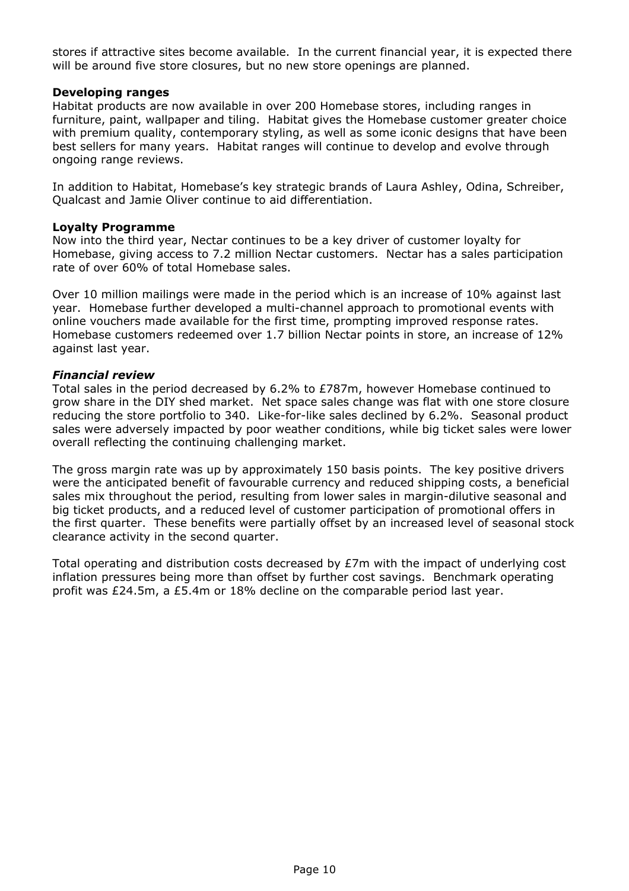stores if attractive sites become available. In the current financial year, it is expected there will be around five store closures, but no new store openings are planned.

### Developing ranges

Habitat products are now available in over 200 Homebase stores, including ranges in furniture, paint, wallpaper and tiling. Habitat gives the Homebase customer greater choice with premium quality, contemporary styling, as well as some iconic designs that have been best sellers for many years. Habitat ranges will continue to develop and evolve through ongoing range reviews.

In addition to Habitat, Homebase's key strategic brands of Laura Ashley, Odina, Schreiber, Qualcast and Jamie Oliver continue to aid differentiation.

#### Loyalty Programme

Now into the third year, Nectar continues to be a key driver of customer loyalty for Homebase, giving access to 7.2 million Nectar customers. Nectar has a sales participation rate of over 60% of total Homebase sales.

Over 10 million mailings were made in the period which is an increase of 10% against last year. Homebase further developed a multi-channel approach to promotional events with online vouchers made available for the first time, prompting improved response rates. Homebase customers redeemed over 1.7 billion Nectar points in store, an increase of 12% against last year.

### Financial review

Total sales in the period decreased by 6.2% to £787m, however Homebase continued to grow share in the DIY shed market. Net space sales change was flat with one store closure reducing the store portfolio to 340. Like-for-like sales declined by 6.2%. Seasonal product sales were adversely impacted by poor weather conditions, while big ticket sales were lower overall reflecting the continuing challenging market.

The gross margin rate was up by approximately 150 basis points. The key positive drivers were the anticipated benefit of favourable currency and reduced shipping costs, a beneficial sales mix throughout the period, resulting from lower sales in margin-dilutive seasonal and big ticket products, and a reduced level of customer participation of promotional offers in the first quarter. These benefits were partially offset by an increased level of seasonal stock clearance activity in the second quarter.

Total operating and distribution costs decreased by £7m with the impact of underlying cost inflation pressures being more than offset by further cost savings. Benchmark operating profit was £24.5m, a £5.4m or 18% decline on the comparable period last year.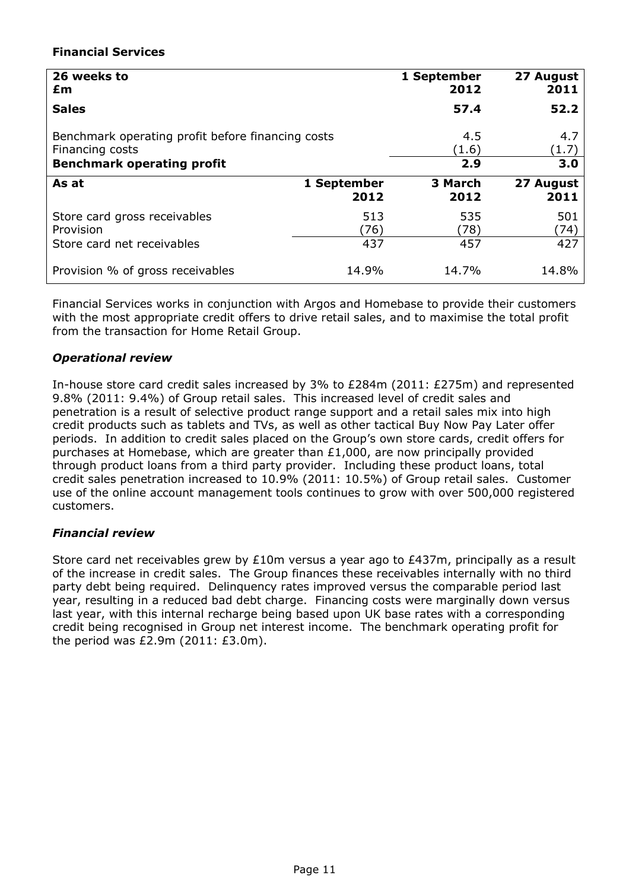## Financial Services

| 26 weeks to                                       |             | 1 September | 27 August |
|---------------------------------------------------|-------------|-------------|-----------|
| £m                                                |             | 2012        | 2011      |
| <b>Sales</b>                                      |             | 57.4        | 52.2      |
| Benchmark operating profit before financing costs |             | 4.5         | 4.7       |
| Financing costs                                   |             | (1.6)       | 1.7       |
| <b>Benchmark operating profit</b>                 |             | 2.9         | 3.0       |
| As at                                             | 1 September | 3 March     | 27 August |
|                                                   | 2012        | 2012        | 2011      |
| Store card gross receivables                      | 513         | 535         | 501       |
| Provision                                         | (76)        | (78)        | (74)      |
| Store card net receivables                        | 437         | 457         | 427       |
| Provision % of gross receivables                  | 14.9%       | 14.7%       | 14.8%     |

Financial Services works in conjunction with Argos and Homebase to provide their customers with the most appropriate credit offers to drive retail sales, and to maximise the total profit from the transaction for Home Retail Group.

## Operational review

In-house store card credit sales increased by 3% to £284m (2011: £275m) and represented 9.8% (2011: 9.4%) of Group retail sales. This increased level of credit sales and penetration is a result of selective product range support and a retail sales mix into high credit products such as tablets and TVs, as well as other tactical Buy Now Pay Later offer periods. In addition to credit sales placed on the Group's own store cards, credit offers for purchases at Homebase, which are greater than £1,000, are now principally provided through product loans from a third party provider. Including these product loans, total credit sales penetration increased to 10.9% (2011: 10.5%) of Group retail sales. Customer use of the online account management tools continues to grow with over 500,000 registered customers.

## Financial review

Store card net receivables grew by £10m versus a year ago to £437m, principally as a result of the increase in credit sales. The Group finances these receivables internally with no third party debt being required. Delinquency rates improved versus the comparable period last year, resulting in a reduced bad debt charge. Financing costs were marginally down versus last year, with this internal recharge being based upon UK base rates with a corresponding credit being recognised in Group net interest income. The benchmark operating profit for the period was £2.9m (2011: £3.0m).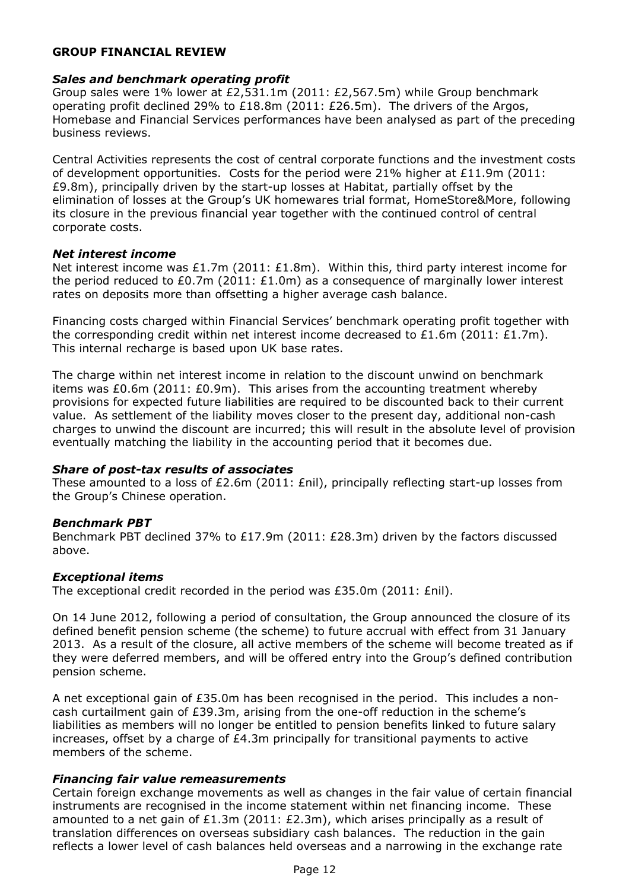## GROUP FINANCIAL REVIEW

### Sales and benchmark operating profit

Group sales were 1% lower at £2,531.1m (2011: £2,567.5m) while Group benchmark operating profit declined 29% to  $£18.8m$  (2011: £26.5m). The drivers of the Argos, Homebase and Financial Services performances have been analysed as part of the preceding business reviews.

Central Activities represents the cost of central corporate functions and the investment costs of development opportunities. Costs for the period were 21% higher at £11.9m (2011: £9.8m), principally driven by the start-up losses at Habitat, partially offset by the elimination of losses at the Group's UK homewares trial format, HomeStore&More, following its closure in the previous financial year together with the continued control of central corporate costs.

### Net interest income

Net interest income was £1.7m (2011: £1.8m). Within this, third party interest income for the period reduced to £0.7m (2011: £1.0m) as a consequence of marginally lower interest rates on deposits more than offsetting a higher average cash balance.

Financing costs charged within Financial Services' benchmark operating profit together with the corresponding credit within net interest income decreased to £1.6m (2011: £1.7m). This internal recharge is based upon UK base rates.

The charge within net interest income in relation to the discount unwind on benchmark items was  $£0.6$ m (2011:  $£0.9$ m). This arises from the accounting treatment whereby provisions for expected future liabilities are required to be discounted back to their current value. As settlement of the liability moves closer to the present day, additional non-cash charges to unwind the discount are incurred; this will result in the absolute level of provision eventually matching the liability in the accounting period that it becomes due.

## Share of post-tax results of associates

These amounted to a loss of £2.6m (2011:  $Enil$ ), principally reflecting start-up losses from the Group's Chinese operation.

## Benchmark PBT

Benchmark PBT declined 37% to £17.9m (2011: £28.3m) driven by the factors discussed above.

## Exceptional items

The exceptional credit recorded in the period was £35.0m (2011: £nil).

On 14 June 2012, following a period of consultation, the Group announced the closure of its defined benefit pension scheme (the scheme) to future accrual with effect from 31 January 2013. As a result of the closure, all active members of the scheme will become treated as if they were deferred members, and will be offered entry into the Group's defined contribution pension scheme.

A net exceptional gain of £35.0m has been recognised in the period. This includes a noncash curtailment gain of £39.3m, arising from the one-off reduction in the scheme's liabilities as members will no longer be entitled to pension benefits linked to future salary increases, offset by a charge of  $E4.3m$  principally for transitional payments to active members of the scheme.

## Financing fair value remeasurements

Certain foreign exchange movements as well as changes in the fair value of certain financial instruments are recognised in the income statement within net financing income. These amounted to a net gain of £1.3m (2011: £2.3m), which arises principally as a result of translation differences on overseas subsidiary cash balances. The reduction in the gain reflects a lower level of cash balances held overseas and a narrowing in the exchange rate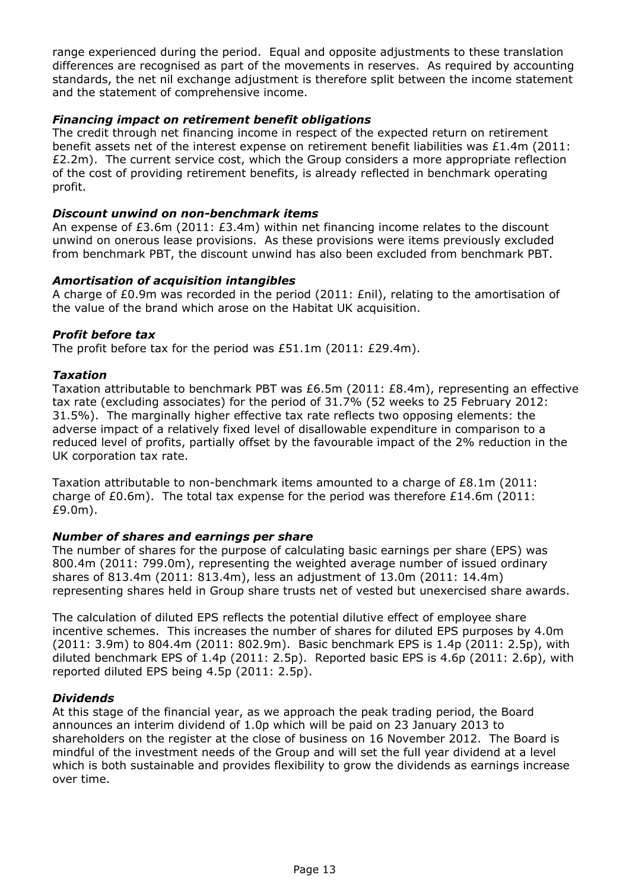range experienced during the period. Equal and opposite adjustments to these translation differences are recognised as part of the movements in reserves. As required by accounting standards, the net nil exchange adjustment is therefore split between the income statement and the statement of comprehensive income.

## Financing impact on retirement benefit obligations

The credit through net financing income in respect of the expected return on retirement benefit assets net of the interest expense on retirement benefit liabilities was £1.4m (2011:  $£2.2m$ ). The current service cost, which the Group considers a more appropriate reflection of the cost of providing retirement benefits, is already reflected in benchmark operating profit.

### Discount unwind on non-benchmark items

An expense of £3.6m (2011: £3.4m) within net financing income relates to the discount unwind on onerous lease provisions. As these provisions were items previously excluded from benchmark PBT, the discount unwind has also been excluded from benchmark PBT.

## Amortisation of acquisition intangibles

A charge of £0.9m was recorded in the period (2011: £nil), relating to the amortisation of the value of the brand which arose on the Habitat UK acquisition.

### Profit before tax

The profit before tax for the period was £51.1m (2011: £29.4m).

### Taxation

Taxation attributable to benchmark PBT was £6.5m (2011: £8.4m), representing an effective tax rate (excluding associates) for the period of 31.7% (52 weeks to 25 February 2012: 31.5%). The marginally higher effective tax rate reflects two opposing elements: the adverse impact of a relatively fixed level of disallowable expenditure in comparison to a reduced level of profits, partially offset by the favourable impact of the 2% reduction in the UK corporation tax rate.

Taxation attributable to non-benchmark items amounted to a charge of £8.1m (2011: charge of  $E(0.6m)$ . The total tax expense for the period was therefore  $E(14.6m)$  (2011: £9.0m).

### Number of shares and earnings per share

The number of shares for the purpose of calculating basic earnings per share (EPS) was 800.4m (2011: 799.0m), representing the weighted average number of issued ordinary shares of 813.4m (2011: 813.4m), less an adjustment of 13.0m (2011: 14.4m) representing shares held in Group share trusts net of vested but unexercised share awards.

The calculation of diluted EPS reflects the potential dilutive effect of employee share incentive schemes. This increases the number of shares for diluted EPS purposes by 4.0m (2011: 3.9m) to 804.4m (2011: 802.9m). Basic benchmark EPS is 1.4p (2011: 2.5p), with diluted benchmark EPS of 1.4p (2011: 2.5p). Reported basic EPS is 4.6p (2011: 2.6p), with reported diluted EPS being 4.5p (2011: 2.5p).

## Dividends

At this stage of the financial year, as we approach the peak trading period, the Board announces an interim dividend of 1.0p which will be paid on 23 January 2013 to shareholders on the register at the close of business on 16 November 2012. The Board is mindful of the investment needs of the Group and will set the full year dividend at a level which is both sustainable and provides flexibility to grow the dividends as earnings increase over time.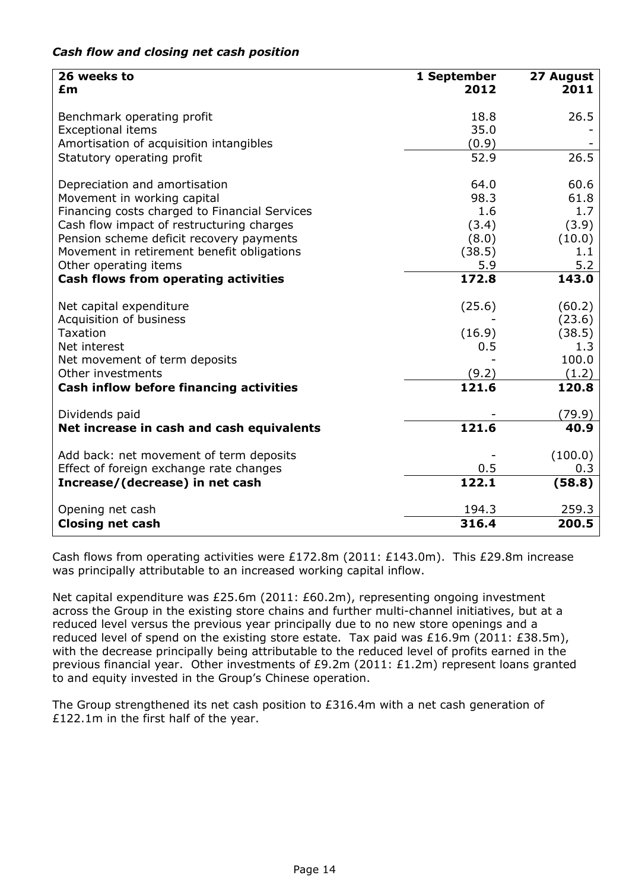| 26 weeks to<br>£m                             | 1 September<br>2012 | 27 August<br>2011 |
|-----------------------------------------------|---------------------|-------------------|
| Benchmark operating profit                    | 18.8                | 26.5              |
| <b>Exceptional items</b>                      | 35.0                |                   |
| Amortisation of acquisition intangibles       | (0.9)               |                   |
| Statutory operating profit                    | 52.9                | 26.5              |
| Depreciation and amortisation                 | 64.0                | 60.6              |
| Movement in working capital                   | 98.3                | 61.8              |
| Financing costs charged to Financial Services | 1.6                 | 1.7               |
| Cash flow impact of restructuring charges     | (3.4)               | (3.9)             |
| Pension scheme deficit recovery payments      | (8.0)               | (10.0)            |
| Movement in retirement benefit obligations    | (38.5)              | 1.1               |
| Other operating items                         | 5.9                 | 5.2               |
| <b>Cash flows from operating activities</b>   | 172.8               | 143.0             |
| Net capital expenditure                       | (25.6)              | (60.2)            |
| Acquisition of business                       |                     | (23.6)            |
| <b>Taxation</b>                               | (16.9)              | (38.5)            |
| Net interest                                  | 0.5                 | 1.3               |
| Net movement of term deposits                 |                     | 100.0             |
| Other investments                             | (9.2)               | (1.2)             |
| Cash inflow before financing activities       | 121.6               | 120.8             |
| Dividends paid                                |                     | (79.9)            |
| Net increase in cash and cash equivalents     | 121.6               | 40.9              |
| Add back: net movement of term deposits       |                     | (100.0)           |
| Effect of foreign exchange rate changes       | 0.5                 | 0.3               |
| Increase/(decrease) in net cash               | 122.1               | (58.8)            |
| Opening net cash                              | 194.3               | 259.3             |
| <b>Closing net cash</b>                       | 316.4               | 200.5             |

## Cash flow and closing net cash position

Cash flows from operating activities were £172.8m (2011: £143.0m). This £29.8m increase was principally attributable to an increased working capital inflow.

Net capital expenditure was £25.6m (2011: £60.2m), representing ongoing investment across the Group in the existing store chains and further multi-channel initiatives, but at a reduced level versus the previous year principally due to no new store openings and a reduced level of spend on the existing store estate. Tax paid was £16.9m (2011: £38.5m), with the decrease principally being attributable to the reduced level of profits earned in the previous financial year. Other investments of £9.2m (2011: £1.2m) represent loans granted to and equity invested in the Group's Chinese operation.

The Group strengthened its net cash position to £316.4m with a net cash generation of £122.1m in the first half of the year.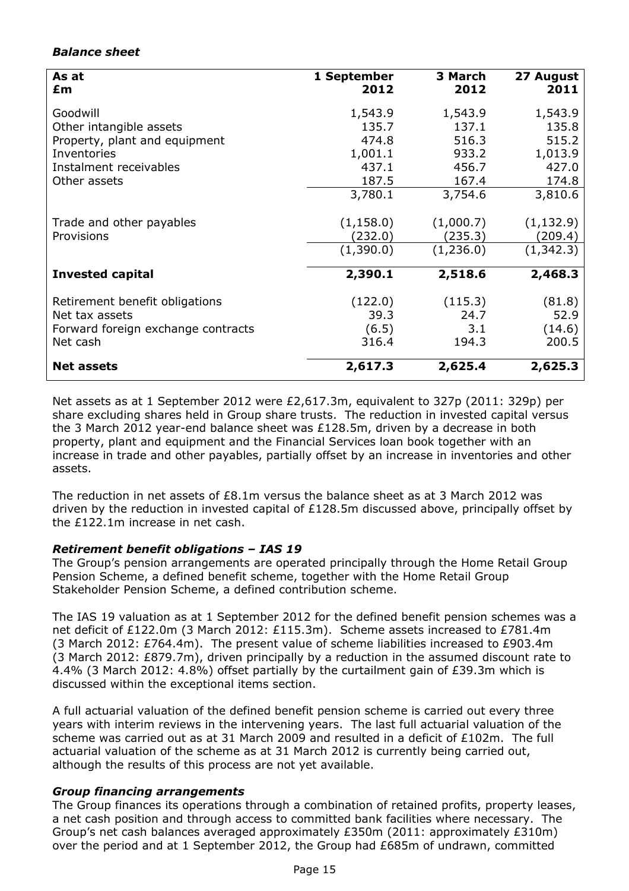## Balance sheet

| As at<br>£m                                                                                                                   | 1 September<br>2012                                               | 3 March<br>2012                                                 | 27 August<br>2011                                                 |
|-------------------------------------------------------------------------------------------------------------------------------|-------------------------------------------------------------------|-----------------------------------------------------------------|-------------------------------------------------------------------|
| Goodwill<br>Other intangible assets<br>Property, plant and equipment<br>Inventories<br>Instalment receivables<br>Other assets | 1,543.9<br>135.7<br>474.8<br>1,001.1<br>437.1<br>187.5<br>3,780.1 | 1,543.9<br>137.1<br>516.3<br>933.2<br>456.7<br>167.4<br>3,754.6 | 1,543.9<br>135.8<br>515.2<br>1,013.9<br>427.0<br>174.8<br>3,810.6 |
| Trade and other payables<br>Provisions                                                                                        | (1, 158.0)<br>(232.0)<br>(1,390.0)                                | (1,000.7)<br>(235.3)<br>(1,236.0)                               | (1, 132.9)<br>(209.4)<br>(1, 342.3)                               |
| <b>Invested capital</b>                                                                                                       | 2,390.1                                                           | 2,518.6                                                         | 2,468.3                                                           |
| Retirement benefit obligations<br>Net tax assets<br>Forward foreign exchange contracts<br>Net cash                            | (122.0)<br>39.3<br>(6.5)<br>316.4                                 | (115.3)<br>24.7<br>3.1<br>194.3                                 | (81.8)<br>52.9<br>(14.6)<br>200.5                                 |
| <b>Net assets</b>                                                                                                             | 2,617.3                                                           | 2,625.4                                                         | 2,625.3                                                           |

Net assets as at 1 September 2012 were £2,617.3m, equivalent to 327p (2011: 329p) per share excluding shares held in Group share trusts. The reduction in invested capital versus the 3 March 2012 year-end balance sheet was £128.5m, driven by a decrease in both property, plant and equipment and the Financial Services loan book together with an increase in trade and other payables, partially offset by an increase in inventories and other assets.

The reduction in net assets of  $E8.1$ m versus the balance sheet as at 3 March 2012 was driven by the reduction in invested capital of £128.5m discussed above, principally offset by the £122.1m increase in net cash.

## Retirement benefit obligations – IAS 19

The Group's pension arrangements are operated principally through the Home Retail Group Pension Scheme, a defined benefit scheme, together with the Home Retail Group Stakeholder Pension Scheme, a defined contribution scheme.

The IAS 19 valuation as at 1 September 2012 for the defined benefit pension schemes was a net deficit of £122.0m (3 March 2012: £115.3m). Scheme assets increased to £781.4m (3 March 2012:  $E764.4m$ ). The present value of scheme liabilities increased to  $E903.4m$ (3 March 2012: £879.7m), driven principally by a reduction in the assumed discount rate to 4.4% (3 March 2012: 4.8%) offset partially by the curtailment gain of £39.3m which is discussed within the exceptional items section.

A full actuarial valuation of the defined benefit pension scheme is carried out every three years with interim reviews in the intervening years. The last full actuarial valuation of the scheme was carried out as at 31 March 2009 and resulted in a deficit of £102m. The full actuarial valuation of the scheme as at 31 March 2012 is currently being carried out, although the results of this process are not yet available.

## Group financing arrangements

The Group finances its operations through a combination of retained profits, property leases, a net cash position and through access to committed bank facilities where necessary. The Group's net cash balances averaged approximately £350m (2011: approximately £310m) over the period and at 1 September 2012, the Group had £685m of undrawn, committed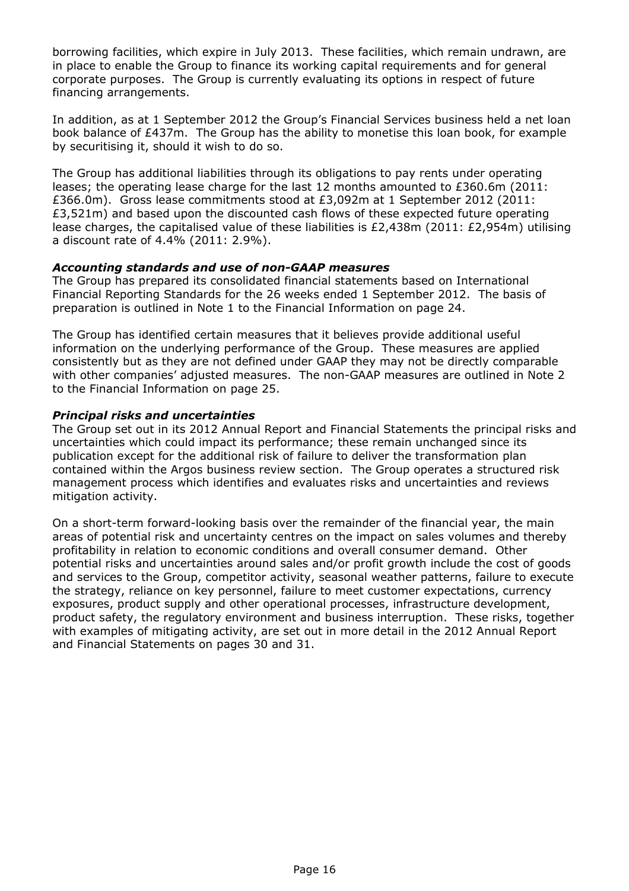borrowing facilities, which expire in July 2013. These facilities, which remain undrawn, are in place to enable the Group to finance its working capital requirements and for general corporate purposes. The Group is currently evaluating its options in respect of future financing arrangements.

In addition, as at 1 September 2012 the Group's Financial Services business held a net loan book balance of £437m. The Group has the ability to monetise this loan book, for example by securitising it, should it wish to do so.

The Group has additional liabilities through its obligations to pay rents under operating leases; the operating lease charge for the last 12 months amounted to £360.6m (2011: £366.0m). Gross lease commitments stood at £3,092m at 1 September 2012 (2011: £3,521m) and based upon the discounted cash flows of these expected future operating lease charges, the capitalised value of these liabilities is £2,438m (2011: £2,954m) utilising a discount rate of 4.4% (2011: 2.9%).

## Accounting standards and use of non-GAAP measures

The Group has prepared its consolidated financial statements based on International Financial Reporting Standards for the 26 weeks ended 1 September 2012. The basis of preparation is outlined in Note 1 to the Financial Information on page 24.

The Group has identified certain measures that it believes provide additional useful information on the underlying performance of the Group. These measures are applied consistently but as they are not defined under GAAP they may not be directly comparable with other companies' adjusted measures. The non-GAAP measures are outlined in Note 2 to the Financial Information on page 25.

## Principal risks and uncertainties

The Group set out in its 2012 Annual Report and Financial Statements the principal risks and uncertainties which could impact its performance; these remain unchanged since its publication except for the additional risk of failure to deliver the transformation plan contained within the Argos business review section. The Group operates a structured risk management process which identifies and evaluates risks and uncertainties and reviews mitigation activity.

On a short-term forward-looking basis over the remainder of the financial year, the main areas of potential risk and uncertainty centres on the impact on sales volumes and thereby profitability in relation to economic conditions and overall consumer demand. Other potential risks and uncertainties around sales and/or profit growth include the cost of goods and services to the Group, competitor activity, seasonal weather patterns, failure to execute the strategy, reliance on key personnel, failure to meet customer expectations, currency exposures, product supply and other operational processes, infrastructure development, product safety, the regulatory environment and business interruption. These risks, together with examples of mitigating activity, are set out in more detail in the 2012 Annual Report and Financial Statements on pages 30 and 31.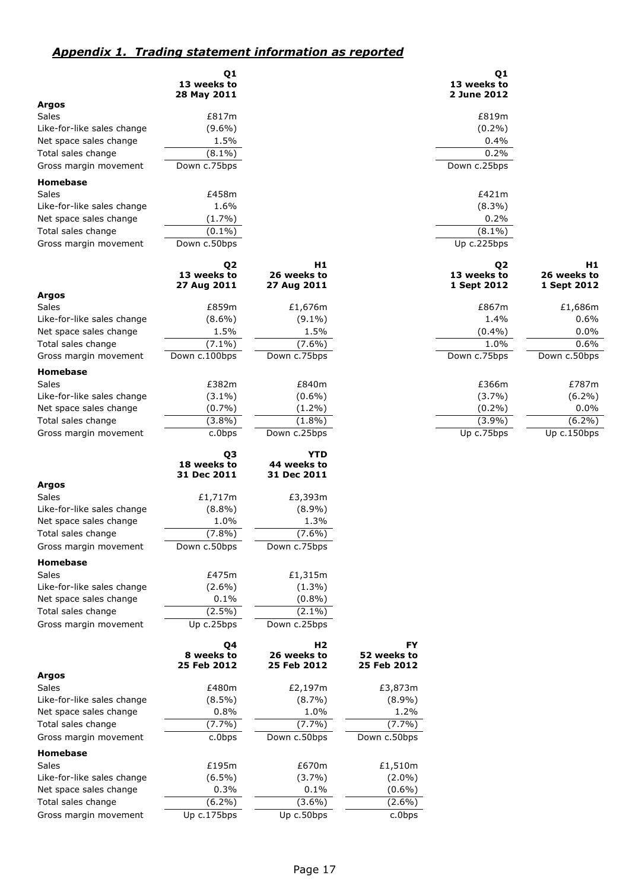## Appendix 1. Trading statement information as reported

|                            | Q <sub>1</sub><br>13 weeks to<br>28 May 2011 |                                              |                                         | Q1<br>13 weeks to<br>2 June 2012 |              |
|----------------------------|----------------------------------------------|----------------------------------------------|-----------------------------------------|----------------------------------|--------------|
| <b>Argos</b>               |                                              |                                              |                                         |                                  |              |
| <b>Sales</b>               | £817m                                        |                                              |                                         | £819m                            |              |
| Like-for-like sales change | $(9.6\%)$                                    |                                              |                                         | $(0.2\%)$                        |              |
| Net space sales change     | 1.5%                                         |                                              |                                         | 0.4%                             |              |
| Total sales change         | $(8.1\%)$                                    |                                              |                                         | 0.2%                             |              |
| Gross margin movement      | Down c.75bps                                 |                                              |                                         | Down c.25bps                     |              |
| Homebase                   |                                              |                                              |                                         |                                  |              |
| <b>Sales</b>               | £458m                                        |                                              |                                         | £421m                            |              |
| Like-for-like sales change | 1.6%                                         |                                              |                                         | $(8.3\%)$                        |              |
| Net space sales change     | $(1.7\%)$                                    |                                              |                                         | 0.2%                             |              |
| Total sales change         | $(0.1\%)$                                    |                                              |                                         | $(8.1\%)$                        |              |
| Gross margin movement      | Down c.50bps                                 |                                              |                                         | Up c.225bps                      |              |
|                            | Q <sub>2</sub>                               | H1                                           |                                         | Q <sub>2</sub>                   | H1           |
|                            | 13 weeks to                                  | 26 weeks to                                  |                                         | 13 weeks to                      | 26 weeks to  |
|                            | 27 Aug 2011                                  | 27 Aug 2011                                  |                                         | 1 Sept 2012                      | 1 Sept 2012  |
| <b>Argos</b>               |                                              |                                              |                                         |                                  |              |
| <b>Sales</b>               | £859m                                        | £1,676m                                      |                                         | £867m                            | £1,686m      |
| Like-for-like sales change | $(8.6\%)$                                    | $(9.1\%)$                                    |                                         | 1.4%                             | 0.6%         |
| Net space sales change     | 1.5%                                         | 1.5%                                         |                                         | $(0.4\%)$                        | 0.0%         |
| Total sales change         | $(7.1\%)$                                    | $(7.6\%)$                                    |                                         | 1.0%                             | 0.6%         |
| Gross margin movement      | Down c.100bps                                | Down c.75bps                                 |                                         | Down c.75bps                     | Down c.50bps |
| Homebase                   |                                              |                                              |                                         |                                  |              |
| <b>Sales</b>               | £382m                                        | £840m                                        |                                         | £366m                            | £787m        |
| Like-for-like sales change | $(3.1\%)$                                    | $(0.6\%)$                                    |                                         | (3.7%)                           | $(6.2\%)$    |
| Net space sales change     | $(0.7\%)$                                    | $(1.2\%)$                                    |                                         | $(0.2\%)$                        | $0.0\%$      |
| Total sales change         | $(3.8\%)$                                    | $(1.8\%)$                                    |                                         | (3.9%)                           | $(6.2\%)$    |
| Gross margin movement      | c.0bps                                       | Down c.25bps                                 |                                         | Up c.75bps                       | Up c.150bps  |
|                            | Q <sub>3</sub><br>18 weeks to<br>31 Dec 2011 | <b>YTD</b><br>44 weeks to<br>31 Dec 2011     |                                         |                                  |              |
| <b>Argos</b>               |                                              |                                              |                                         |                                  |              |
| <b>Sales</b>               | £1,717m                                      | £3,393m                                      |                                         |                                  |              |
| Like-for-like sales change | $(8.8\%)$                                    | $(8.9\%)$                                    |                                         |                                  |              |
| Net space sales change     | 1.0%                                         | 1.3%                                         |                                         |                                  |              |
| Total sales change         | $(7.8\%)$                                    | $(7.6\%)$                                    |                                         |                                  |              |
| Gross margin movement      | Down c.50bps                                 | Down c./5bps                                 |                                         |                                  |              |
| <b>Homebase</b>            |                                              |                                              |                                         |                                  |              |
| <b>Sales</b>               | £475m                                        | £1,315m                                      |                                         |                                  |              |
| Like-for-like sales change | $(2.6\%)$                                    | $(1.3\%)$                                    |                                         |                                  |              |
| Net space sales change     | 0.1%                                         | (0.8%)                                       |                                         |                                  |              |
| Total sales change         | $(2.5\%)$                                    | $(2.1\%)$                                    |                                         |                                  |              |
| Gross margin movement      | Up c.25bps                                   | Down c.25bps                                 |                                         |                                  |              |
|                            | Q4<br>8 weeks to<br>25 Feb 2012              | H <sub>2</sub><br>26 weeks to<br>25 Feb 2012 | <b>FY</b><br>52 weeks to<br>25 Feb 2012 |                                  |              |
| <b>Argos</b>               |                                              |                                              |                                         |                                  |              |
| <b>Sales</b>               | £480m                                        | £2,197m                                      | £3,873m                                 |                                  |              |
| Like-for-like sales change | $(8.5\%)$                                    | $(8.7\%)$                                    | $(8.9\%)$                               |                                  |              |
| Net space sales change     | 0.8%                                         | 1.0%                                         | 1.2%                                    |                                  |              |
| Total sales change         | $(7.7\%)$                                    | (7.7%)                                       | (7.7%)                                  |                                  |              |
| Gross margin movement      | c.0bps                                       | Down c.50bps                                 | Down c.50bps                            |                                  |              |
| Homebase                   |                                              |                                              |                                         |                                  |              |
| <b>Sales</b>               | £195m                                        | £670m                                        | £1,510m                                 |                                  |              |
| Like-for-like sales change | $(6.5\%)$                                    | (3.7%)                                       | $(2.0\%)$                               |                                  |              |
| Net space sales change     | 0.3%                                         | 0.1%                                         | $(0.6\%)$                               |                                  |              |
| Total sales change         | $(6.2\%)$                                    | $(3.6\%)$                                    | $(2.6\%)$                               |                                  |              |
| Gross margin movement      | Up c.175bps                                  | Up c.50bps                                   | c.0bps                                  |                                  |              |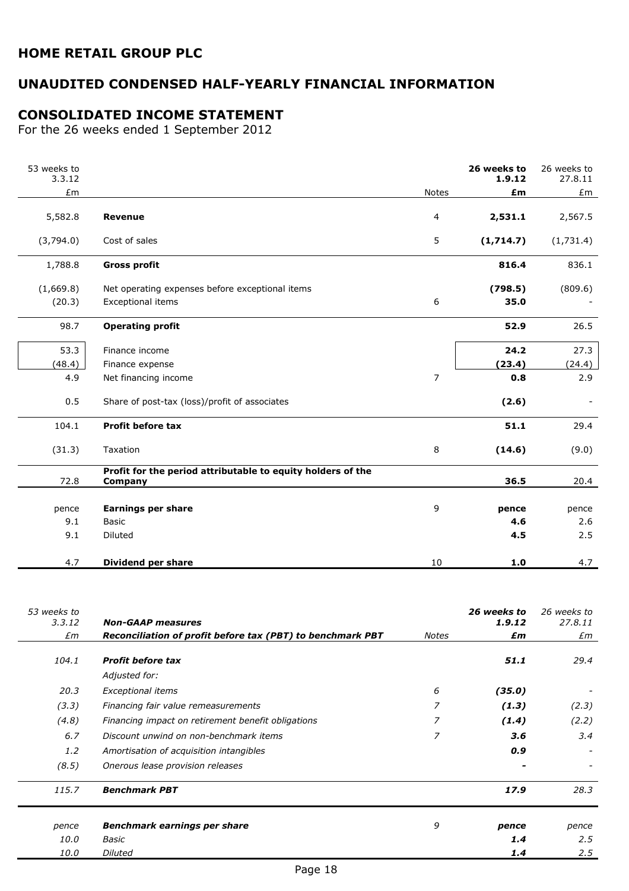# UNAUDITED CONDENSED HALF-YEARLY FINANCIAL INFORMATION

## CONSOLIDATED INCOME STATEMENT

For the 26 weeks ended 1 September 2012

| 53 weeks to<br>3.3.12 |                                                                        |                | 26 weeks to<br>1.9.12 | 26 weeks to<br>27.8.11 |
|-----------------------|------------------------------------------------------------------------|----------------|-----------------------|------------------------|
| £m                    |                                                                        | <b>Notes</b>   | £m                    | £m                     |
| 5,582.8               | Revenue                                                                | 4              | 2,531.1               | 2,567.5                |
| (3,794.0)             | Cost of sales                                                          | 5              | (1,714.7)             | (1,731.4)              |
| 1,788.8               | <b>Gross profit</b>                                                    |                | 816.4                 | 836.1                  |
| (1,669.8)             | Net operating expenses before exceptional items                        |                | (798.5)               | (809.6)                |
| (20.3)                | Exceptional items                                                      | 6              | 35.0                  |                        |
| 98.7                  | <b>Operating profit</b>                                                |                | 52.9                  | 26.5                   |
| 53.3                  | Finance income                                                         |                | 24.2                  | 27.3                   |
| (48.4)                | Finance expense                                                        |                | (23.4)                | (24.4)                 |
| 4.9                   | Net financing income                                                   | $\overline{7}$ | 0.8                   | 2.9                    |
| 0.5                   | Share of post-tax (loss)/profit of associates                          |                | (2.6)                 |                        |
| 104.1                 | Profit before tax                                                      |                | 51.1                  | 29.4                   |
| (31.3)                | Taxation                                                               | 8              | (14.6)                | (9.0)                  |
| 72.8                  | Profit for the period attributable to equity holders of the<br>Company |                | 36.5                  | 20.4                   |
| pence                 | <b>Earnings per share</b>                                              | 9              | pence                 | pence                  |
| 9.1                   | <b>Basic</b>                                                           |                | 4.6                   | 2.6                    |
| 9.1                   | <b>Diluted</b>                                                         |                | 4.5                   | 2.5                    |
| 4.7                   | <b>Dividend per share</b>                                              | 10             | 1.0                   | 4.7                    |

| 53 weeks to   |                                                            |       | 26 weeks to | 26 weeks to |
|---------------|------------------------------------------------------------|-------|-------------|-------------|
| 3.3.12        | <b>Non-GAAP measures</b>                                   |       | 1.9.12      | 27.8.11     |
| £m            | Reconciliation of profit before tax (PBT) to benchmark PBT | Notes | £m          | £m          |
| 104.1         | <b>Profit before tax</b>                                   |       | 51.1        | 29.4        |
|               | Adjusted for:                                              |       |             |             |
| 20.3          | Exceptional items                                          | 6     | (35.0)      |             |
| (3.3)         | Financing fair value remeasurements                        | 7     | (1.3)       | (2.3)       |
| (4.8)         | Financing impact on retirement benefit obligations         | 7     | (1.4)       | (2.2)       |
| 6.7           | Discount unwind on non-benchmark items                     | 7     | 3.6         | 3.4         |
| $1.2^{\circ}$ | Amortisation of acquisition intangibles                    |       | 0.9         |             |
| (8.5)         | Onerous lease provision releases                           |       |             |             |
| 115.7         | <b>Benchmark PBT</b>                                       |       | 17.9        | 28.3        |
| pence         | Benchmark earnings per share                               | 9     | pence       | pence       |
| 10.0          | Basic                                                      |       | 1.4         | 2.5         |
| <i>10.0</i>   | <b>Diluted</b>                                             |       | 1.4         | 2.5         |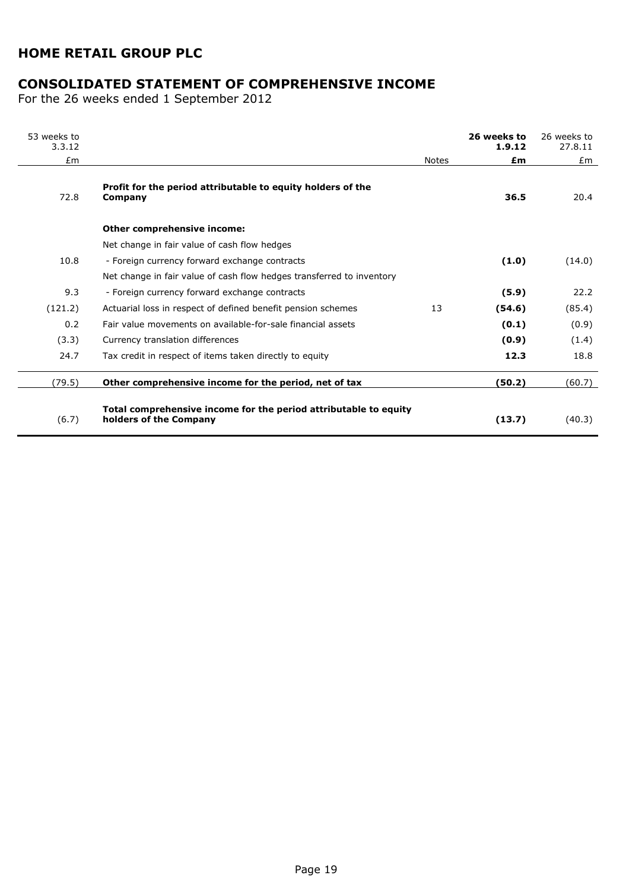# CONSOLIDATED STATEMENT OF COMPREHENSIVE INCOME

For the 26 weeks ended 1 September 2012

| 53 weeks to<br>3.3.12 |                                                                                            |              | 26 weeks to<br>1.9.12 | 26 weeks to<br>27.8.11 |
|-----------------------|--------------------------------------------------------------------------------------------|--------------|-----------------------|------------------------|
| Em                    |                                                                                            | <b>Notes</b> | £m                    | Em                     |
| 72.8                  | Profit for the period attributable to equity holders of the<br>Company                     |              | 36.5                  | 20.4                   |
|                       | Other comprehensive income:                                                                |              |                       |                        |
|                       | Net change in fair value of cash flow hedges                                               |              |                       |                        |
| 10.8                  | - Foreign currency forward exchange contracts                                              |              | (1.0)                 | (14.0)                 |
|                       | Net change in fair value of cash flow hedges transferred to inventory                      |              |                       |                        |
| 9.3                   | - Foreign currency forward exchange contracts                                              |              | (5.9)                 | 22.2                   |
| (121.2)               | Actuarial loss in respect of defined benefit pension schemes                               | 13           | (54.6)                | (85.4)                 |
| 0.2                   | Fair value movements on available-for-sale financial assets                                |              | (0.1)                 | (0.9)                  |
| (3.3)                 | Currency translation differences                                                           |              | (0.9)                 | (1.4)                  |
| 24.7                  | Tax credit in respect of items taken directly to equity                                    |              | 12.3                  | 18.8                   |
| (79.5)                | Other comprehensive income for the period, net of tax                                      |              | (50.2)                | (60.7)                 |
| (6.7)                 | Total comprehensive income for the period attributable to equity<br>holders of the Company |              | (13.7)                | (40.3)                 |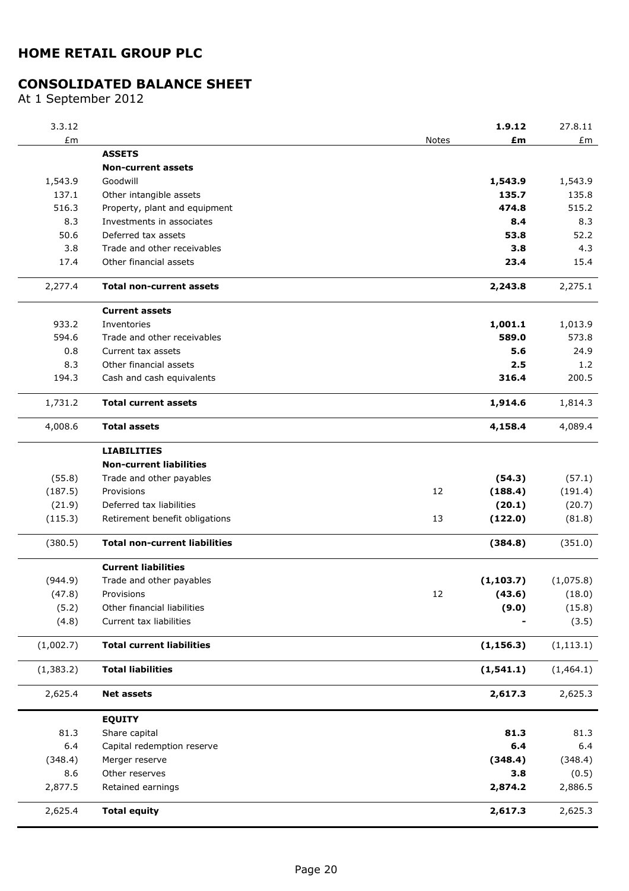# CONSOLIDATED BALANCE SHEET

At 1 September 2012

| 3.3.12                             |                                      |       | 1.9.12     | 27.8.11    |
|------------------------------------|--------------------------------------|-------|------------|------------|
| $\pmb{\mathit{E}}\pmb{\mathsf{m}}$ |                                      | Notes | £m         | £m         |
|                                    | <b>ASSETS</b>                        |       |            |            |
|                                    | <b>Non-current assets</b>            |       |            |            |
| 1,543.9                            | Goodwill                             |       | 1,543.9    | 1,543.9    |
| 137.1                              | Other intangible assets              |       | 135.7      | 135.8      |
| 516.3                              | Property, plant and equipment        |       | 474.8      | 515.2      |
| 8.3                                | Investments in associates            |       | 8.4        | 8.3        |
| 50.6                               | Deferred tax assets                  |       | 53.8       | 52.2       |
| 3.8                                | Trade and other receivables          |       | 3.8        | 4.3        |
| 17.4                               | Other financial assets               |       | 23.4       | 15.4       |
| 2,277.4                            | <b>Total non-current assets</b>      |       | 2,243.8    | 2,275.1    |
|                                    | <b>Current assets</b>                |       |            |            |
| 933.2                              | Inventories                          |       | 1,001.1    | 1,013.9    |
| 594.6                              | Trade and other receivables          |       | 589.0      | 573.8      |
| 0.8                                | Current tax assets                   |       | 5.6        | 24.9       |
| 8.3                                | Other financial assets               |       | 2.5        | 1.2        |
| 194.3                              | Cash and cash equivalents            |       | 316.4      | 200.5      |
| 1,731.2                            | <b>Total current assets</b>          |       | 1,914.6    | 1,814.3    |
| 4,008.6                            | <b>Total assets</b>                  |       | 4,158.4    | 4,089.4    |
|                                    | <b>LIABILITIES</b>                   |       |            |            |
|                                    | <b>Non-current liabilities</b>       |       |            |            |
| (55.8)                             | Trade and other payables             |       | (54.3)     | (57.1)     |
| (187.5)                            | Provisions                           | 12    | (188.4)    | (191.4)    |
| (21.9)                             | Deferred tax liabilities             |       | (20.1)     | (20.7)     |
| (115.3)                            | Retirement benefit obligations       | 13    | (122.0)    | (81.8)     |
| (380.5)                            | <b>Total non-current liabilities</b> |       | (384.8)    | (351.0)    |
|                                    | <b>Current liabilities</b>           |       |            |            |
| (944.9)                            | Trade and other payables             |       | (1, 103.7) | (1,075.8)  |
| (47.8)                             | Provisions                           | 12    | (43.6)     | (18.0)     |
| (5.2)                              | Other financial liabilities          |       | (9.0)      | (15.8)     |
| (4.8)                              | Current tax liabilities              |       |            | (3.5)      |
| (1,002.7)                          | <b>Total current liabilities</b>     |       | (1, 156.3) | (1, 113.1) |
| (1, 383.2)                         | <b>Total liabilities</b>             |       | (1, 541.1) | (1,464.1)  |
| 2,625.4                            | <b>Net assets</b>                    |       | 2,617.3    | 2,625.3    |
|                                    | <b>EQUITY</b>                        |       |            |            |
| 81.3                               | Share capital                        |       | 81.3       | 81.3       |
| 6.4                                | Capital redemption reserve           |       | 6.4        | 6.4        |
| (348.4)                            | Merger reserve                       |       | (348.4)    | (348.4)    |
| 8.6                                | Other reserves                       |       | 3.8        | (0.5)      |
| 2,877.5                            | Retained earnings                    |       | 2,874.2    | 2,886.5    |
| 2,625.4                            | <b>Total equity</b>                  |       | 2,617.3    | 2,625.3    |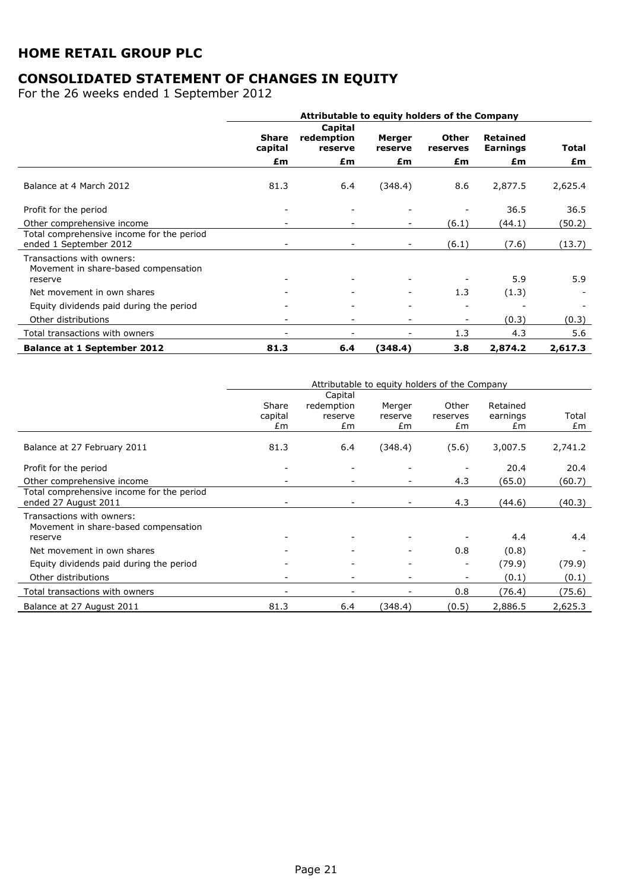# CONSOLIDATED STATEMENT OF CHANGES IN EQUITY

For the 26 weeks ended 1 September 2012

|                                                                              | Attributable to equity holders of the Company |                                  |                          |                          |                                    |         |
|------------------------------------------------------------------------------|-----------------------------------------------|----------------------------------|--------------------------|--------------------------|------------------------------------|---------|
|                                                                              | <b>Share</b><br>capital                       | Capital<br>redemption<br>reserve | Merger<br>reserve        | <b>Other</b><br>reserves | <b>Retained</b><br><b>Earnings</b> | Total   |
|                                                                              | £m                                            | £m                               | £m                       | £m                       | £m                                 | £m      |
| Balance at 4 March 2012                                                      | 81.3                                          | 6.4                              | (348.4)                  | 8.6                      | 2,877.5                            | 2,625.4 |
| Profit for the period                                                        |                                               |                                  |                          |                          | 36.5                               | 36.5    |
| Other comprehensive income                                                   |                                               |                                  |                          | (6.1)                    | (44.1)                             | (50.2)  |
| Total comprehensive income for the period<br>ended 1 September 2012          |                                               |                                  | $\sim$                   | (6.1)                    | (7.6)                              | (13.7)  |
| Transactions with owners:<br>Movement in share-based compensation<br>reserve |                                               |                                  |                          |                          | 5.9                                | 5.9     |
| Net movement in own shares                                                   |                                               |                                  | ۰.                       | 1.3                      | (1.3)                              |         |
| Equity dividends paid during the period                                      |                                               |                                  | ۰                        | $\overline{\phantom{a}}$ |                                    |         |
| Other distributions                                                          | $\overline{\phantom{a}}$                      | $\overline{\phantom{0}}$         | $\overline{\phantom{0}}$ | $\sim$                   | (0.3)                              | (0.3)   |
| Total transactions with owners                                               |                                               |                                  |                          | 1.3                      | 4.3                                | 5.6     |
| <b>Balance at 1 September 2012</b>                                           | 81.3                                          | 6.4                              | (348.4)                  | 3.8                      | 2,874.2                            | 2,617.3 |

|                                                                              |                          |                             | Attributable to equity holders of the Company |                          |                            |             |
|------------------------------------------------------------------------------|--------------------------|-----------------------------|-----------------------------------------------|--------------------------|----------------------------|-------------|
|                                                                              |                          | Capital                     |                                               |                          |                            |             |
|                                                                              | Share<br>capital<br>£m   | redemption<br>reserve<br>£m | Merger<br>reserve<br>£m                       | Other<br>reserves<br>£m  | Retained<br>earnings<br>£m | Total<br>£m |
| Balance at 27 February 2011                                                  | 81.3                     | 6.4                         | (348.4)                                       | (5.6)                    | 3,007.5                    | 2,741.2     |
| Profit for the period                                                        |                          |                             |                                               |                          | 20.4                       | 20.4        |
| Other comprehensive income                                                   |                          |                             |                                               | 4.3                      | (65.0)                     | (60.7)      |
| Total comprehensive income for the period<br>ended 27 August 2011            |                          |                             |                                               | 4.3                      | (44.6)                     | (40.3)      |
| Transactions with owners:<br>Movement in share-based compensation<br>reserve |                          | $\overline{\phantom{a}}$    |                                               |                          | 4.4                        | 4.4         |
| Net movement in own shares                                                   |                          |                             |                                               | 0.8                      | (0.8)                      |             |
| Equity dividends paid during the period                                      |                          |                             |                                               | $\overline{\phantom{a}}$ | (79.9)                     | (79.9)      |
| Other distributions                                                          |                          |                             |                                               |                          | (0.1)                      | (0.1)       |
| Total transactions with owners                                               | $\overline{\phantom{a}}$ | -                           |                                               | 0.8                      | (76.4)                     | (75.6)      |
| Balance at 27 August 2011                                                    | 81.3                     | 6.4                         | (348.4)                                       | (0.5)                    | 2,886.5                    | 2,625.3     |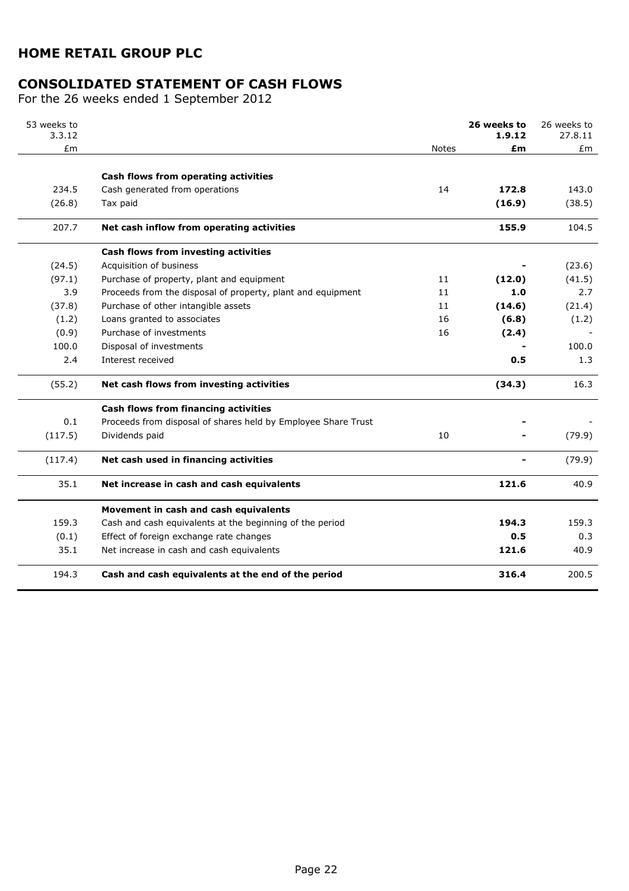# CONSOLIDATED STATEMENT OF CASH FLOWS

For the 26 weeks ended 1 September 2012

| 53 weeks to<br>3.3.12 |                                                               |       | 26 weeks to<br>1.9.12 | 26 weeks to<br>27.8.11 |
|-----------------------|---------------------------------------------------------------|-------|-----------------------|------------------------|
| £m                    |                                                               | Notes | £m                    | £m                     |
|                       |                                                               |       |                       |                        |
|                       | Cash flows from operating activities                          |       |                       |                        |
| 234.5                 | Cash generated from operations                                | 14    | 172.8                 | 143.0                  |
| (26.8)                | Tax paid                                                      |       | (16.9)                | (38.5)                 |
| 207.7                 | Net cash inflow from operating activities                     |       | 155.9                 | 104.5                  |
|                       | Cash flows from investing activities                          |       |                       |                        |
| (24.5)                | Acquisition of business                                       |       |                       | (23.6)                 |
| (97.1)                | Purchase of property, plant and equipment                     | 11    | (12.0)                | (41.5)                 |
| 3.9                   | Proceeds from the disposal of property, plant and equipment   | 11    | 1.0                   | 2.7                    |
| (37.8)                | Purchase of other intangible assets                           | 11    | (14.6)                | (21.4)                 |
| (1.2)                 | Loans granted to associates                                   | 16    | (6.8)                 | (1.2)                  |
| (0.9)                 | Purchase of investments                                       | 16    | (2.4)                 |                        |
| 100.0                 | Disposal of investments                                       |       |                       | 100.0                  |
| 2.4                   | Interest received                                             |       | 0.5                   | 1.3                    |
| (55.2)                | Net cash flows from investing activities                      |       | (34.3)                | 16.3                   |
|                       | Cash flows from financing activities                          |       |                       |                        |
| 0.1                   | Proceeds from disposal of shares held by Employee Share Trust |       |                       |                        |
| (117.5)               | Dividends paid                                                | 10    |                       | (79.9)                 |
| (117.4)               | Net cash used in financing activities                         |       |                       | (79.9)                 |
| 35.1                  | Net increase in cash and cash equivalents                     |       | 121.6                 | 40.9                   |
|                       | Movement in cash and cash equivalents                         |       |                       |                        |
| 159.3                 | Cash and cash equivalents at the beginning of the period      |       | 194.3                 | 159.3                  |
| (0.1)                 | Effect of foreign exchange rate changes                       |       | 0.5                   | 0.3                    |
| 35.1                  | Net increase in cash and cash equivalents                     |       | 121.6                 | 40.9                   |
| 194.3                 | Cash and cash equivalents at the end of the period            |       | 316.4                 | 200.5                  |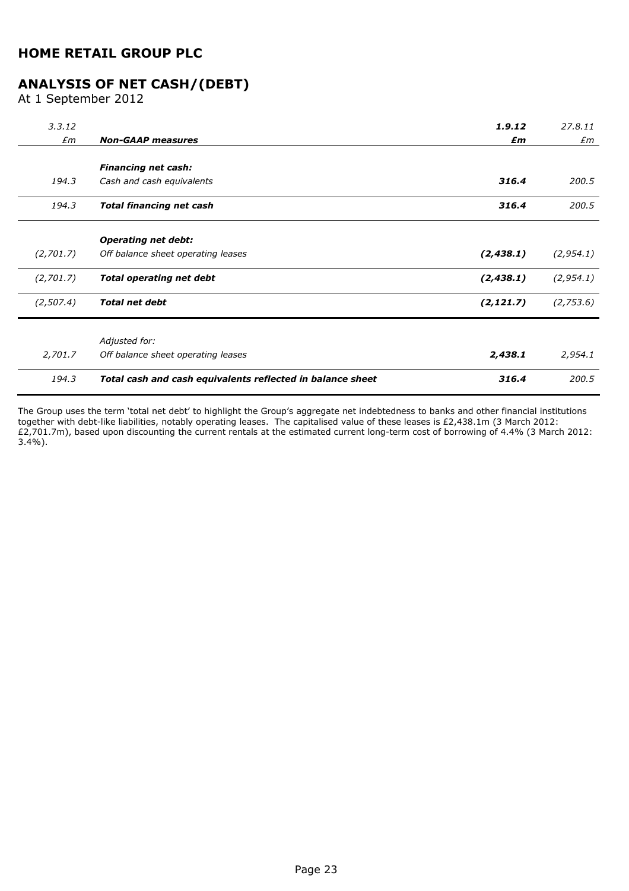# ANALYSIS OF NET CASH/(DEBT)

At 1 September 2012

| 3.3.12      |                                                            | 1.9.12     | 27.8.11    |
|-------------|------------------------------------------------------------|------------|------------|
| $\pounds$ m | <b>Non-GAAP measures</b>                                   | £m         | £m         |
|             |                                                            |            |            |
|             | <b>Financing net cash:</b>                                 |            |            |
| 194.3       | Cash and cash equivalents                                  | 316.4      | 200.5      |
| 194.3       | <b>Total financing net cash</b>                            | 316.4      | 200.5      |
|             | <b>Operating net debt:</b>                                 |            |            |
| (2,701.7)   | Off balance sheet operating leases                         | (2, 438.1) | (2, 954.1) |
| (2,701.7)   | <b>Total operating net debt</b>                            | (2, 438.1) | (2, 954.1) |
| (2,507.4)   | <b>Total net debt</b>                                      | (2, 121.7) | (2,753.6)  |
|             |                                                            |            |            |
|             | Adjusted for:                                              |            |            |
| 2,701.7     | Off balance sheet operating leases                         | 2,438.1    | 2,954.1    |
| 194.3       | Total cash and cash equivalents reflected in balance sheet | 316.4      | 200.5      |

The Group uses the term 'total net debt' to highlight the Group's aggregate net indebtedness to banks and other financial institutions together with debt-like liabilities, notably operating leases. The capitalised value of these leases is £2,438.1m (3 March 2012: £2,701.7m), based upon discounting the current rentals at the estimated current long-term cost of borrowing of 4.4% (3 March 2012:  $3.4\%$ ).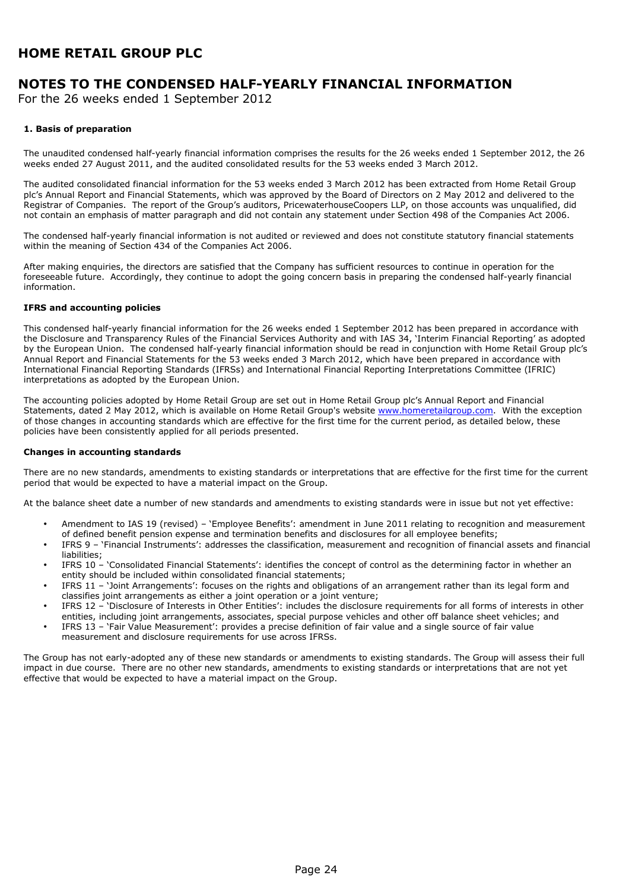# NOTES TO THE CONDENSED HALF-YEARLY FINANCIAL INFORMATION

For the 26 weeks ended 1 September 2012

#### 1. Basis of preparation

The unaudited condensed half-yearly financial information comprises the results for the 26 weeks ended 1 September 2012, the 26 weeks ended 27 August 2011, and the audited consolidated results for the 53 weeks ended 3 March 2012.

The audited consolidated financial information for the 53 weeks ended 3 March 2012 has been extracted from Home Retail Group plc's Annual Report and Financial Statements, which was approved by the Board of Directors on 2 May 2012 and delivered to the Registrar of Companies. The report of the Group's auditors, PricewaterhouseCoopers LLP, on those accounts was unqualified, did not contain an emphasis of matter paragraph and did not contain any statement under Section 498 of the Companies Act 2006.

The condensed half-yearly financial information is not audited or reviewed and does not constitute statutory financial statements within the meaning of Section 434 of the Companies Act 2006.

After making enquiries, the directors are satisfied that the Company has sufficient resources to continue in operation for the foreseeable future. Accordingly, they continue to adopt the going concern basis in preparing the condensed half-yearly financial information.

#### IFRS and accounting policies

This condensed half-yearly financial information for the 26 weeks ended 1 September 2012 has been prepared in accordance with the Disclosure and Transparency Rules of the Financial Services Authority and with IAS 34, 'Interim Financial Reporting' as adopted by the European Union. The condensed half-yearly financial information should be read in conjunction with Home Retail Group plc's Annual Report and Financial Statements for the 53 weeks ended 3 March 2012, which have been prepared in accordance with International Financial Reporting Standards (IFRSs) and International Financial Reporting Interpretations Committee (IFRIC) interpretations as adopted by the European Union.

The accounting policies adopted by Home Retail Group are set out in Home Retail Group plc's Annual Report and Financial Statements, dated 2 May 2012, which is available on Home Retail Group's website www.homeretailgroup.com. With the exception of those changes in accounting standards which are effective for the first time for the current period, as detailed below, these policies have been consistently applied for all periods presented.

#### Changes in accounting standards

There are no new standards, amendments to existing standards or interpretations that are effective for the first time for the current period that would be expected to have a material impact on the Group.

At the balance sheet date a number of new standards and amendments to existing standards were in issue but not yet effective:

- Amendment to IAS 19 (revised) 'Employee Benefits': amendment in June 2011 relating to recognition and measurement of defined benefit pension expense and termination benefits and disclosures for all employee benefits;
- IFRS 9 'Financial Instruments': addresses the classification, measurement and recognition of financial assets and financial liabilities;
- IFRS 10 'Consolidated Financial Statements': identifies the concept of control as the determining factor in whether an entity should be included within consolidated financial statements;
- IFRS 11 'Joint Arrangements': focuses on the rights and obligations of an arrangement rather than its legal form and classifies joint arrangements as either a joint operation or a joint venture;
- IFRS 12 'Disclosure of Interests in Other Entities': includes the disclosure requirements for all forms of interests in other entities, including joint arrangements, associates, special purpose vehicles and other off balance sheet vehicles; and
- IFRS 13 'Fair Value Measurement': provides a precise definition of fair value and a single source of fair value measurement and disclosure requirements for use across IFRSs.

The Group has not early-adopted any of these new standards or amendments to existing standards. The Group will assess their full impact in due course. There are no other new standards, amendments to existing standards or interpretations that are not yet effective that would be expected to have a material impact on the Group.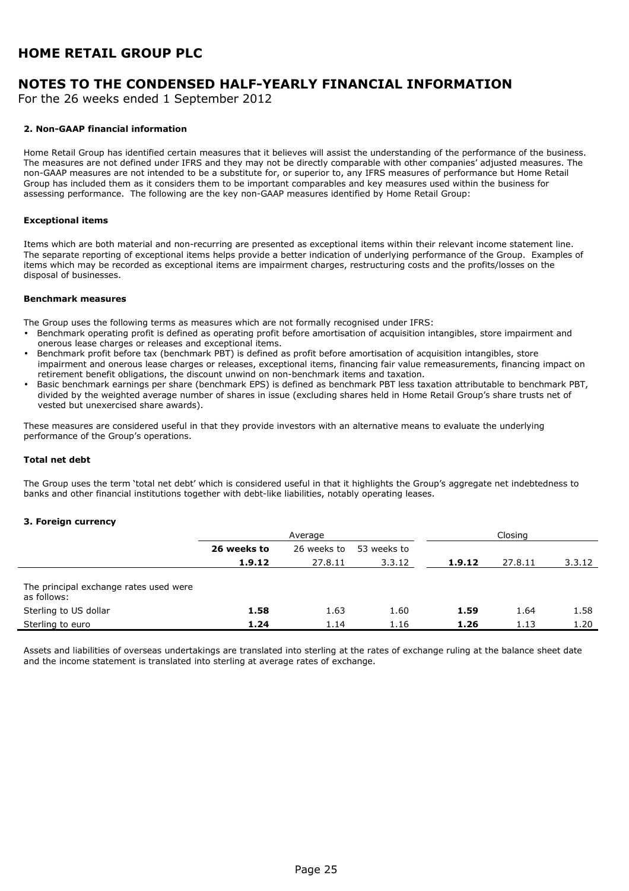# NOTES TO THE CONDENSED HALF-YEARLY FINANCIAL INFORMATION

For the 26 weeks ended 1 September 2012

#### 2. Non-GAAP financial information

Home Retail Group has identified certain measures that it believes will assist the understanding of the performance of the business. The measures are not defined under IFRS and they may not be directly comparable with other companies' adjusted measures. The non-GAAP measures are not intended to be a substitute for, or superior to, any IFRS measures of performance but Home Retail Group has included them as it considers them to be important comparables and key measures used within the business for assessing performance. The following are the key non-GAAP measures identified by Home Retail Group:

#### Exceptional items

Items which are both material and non-recurring are presented as exceptional items within their relevant income statement line. The separate reporting of exceptional items helps provide a better indication of underlying performance of the Group. Examples of items which may be recorded as exceptional items are impairment charges, restructuring costs and the profits/losses on the disposal of businesses.

#### Benchmark measures

The Group uses the following terms as measures which are not formally recognised under IFRS:

- Benchmark operating profit is defined as operating profit before amortisation of acquisition intangibles, store impairment and onerous lease charges or releases and exceptional items.
- Benchmark profit before tax (benchmark PBT) is defined as profit before amortisation of acquisition intangibles, store impairment and onerous lease charges or releases, exceptional items, financing fair value remeasurements, financing impact on retirement benefit obligations, the discount unwind on non-benchmark items and taxation.
- Basic benchmark earnings per share (benchmark EPS) is defined as benchmark PBT less taxation attributable to benchmark PBT, divided by the weighted average number of shares in issue (excluding shares held in Home Retail Group's share trusts net of vested but unexercised share awards).

These measures are considered useful in that they provide investors with an alternative means to evaluate the underlying performance of the Group's operations.

#### Total net debt

The Group uses the term 'total net debt' which is considered useful in that it highlights the Group's aggregate net indebtedness to banks and other financial institutions together with debt-like liabilities, notably operating leases.

#### 3. Foreign currency

|                                                       | Average     |             |             | Closina |         |        |
|-------------------------------------------------------|-------------|-------------|-------------|---------|---------|--------|
|                                                       | 26 weeks to | 26 weeks to | 53 weeks to |         |         |        |
|                                                       | 1.9.12      | 27.8.11     | 3.3.12      | 1.9.12  | 27.8.11 | 3.3.12 |
| The principal exchange rates used were<br>as follows: |             |             |             |         |         |        |
| Sterling to US dollar                                 | 1.58        | 1.63        | 1.60        | 1.59    | 1.64    | 1.58   |
| Sterling to euro                                      | 1.24        | 1.14        | 1.16        | 1.26    | 1.13    | 1.20   |

Assets and liabilities of overseas undertakings are translated into sterling at the rates of exchange ruling at the balance sheet date and the income statement is translated into sterling at average rates of exchange.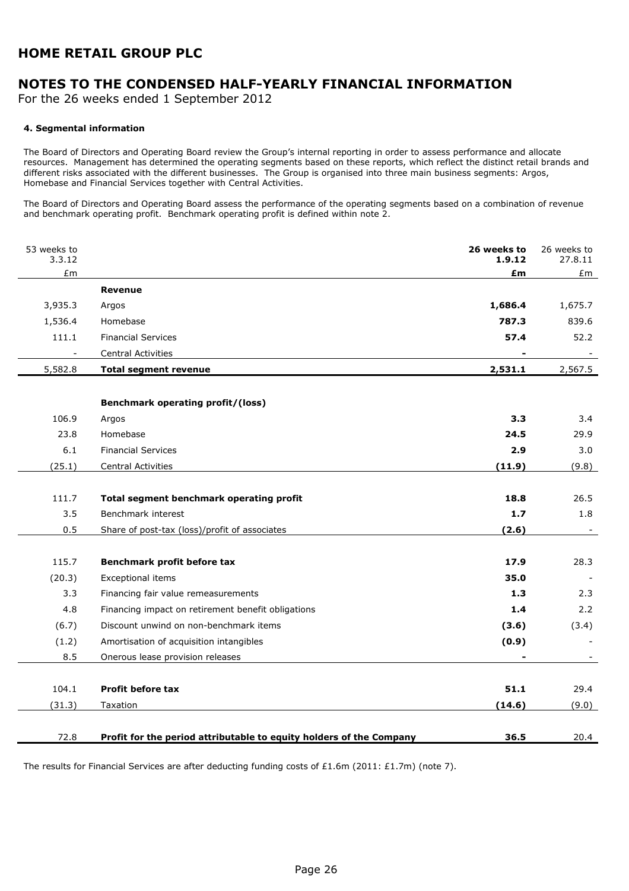# NOTES TO THE CONDENSED HALF-YEARLY FINANCIAL INFORMATION

For the 26 weeks ended 1 September 2012

#### 4. Segmental information

The Board of Directors and Operating Board review the Group's internal reporting in order to assess performance and allocate resources. Management has determined the operating segments based on these reports, which reflect the distinct retail brands and different risks associated with the different businesses. The Group is organised into three main business segments: Argos, Homebase and Financial Services together with Central Activities.

The Board of Directors and Operating Board assess the performance of the operating segments based on a combination of revenue and benchmark operating profit. Benchmark operating profit is defined within note 2.

| 53 weeks to<br>3.3.12 |                                                                     | 26 weeks to<br>1.9.12 | 26 weeks to<br>27.8.11 |
|-----------------------|---------------------------------------------------------------------|-----------------------|------------------------|
| £m                    |                                                                     | £m                    | £m                     |
|                       | <b>Revenue</b>                                                      |                       |                        |
| 3,935.3               | Argos                                                               | 1,686.4               | 1,675.7                |
| 1,536.4               | Homebase                                                            | 787.3                 | 839.6                  |
| 111.1                 | <b>Financial Services</b>                                           | 57.4                  | 52.2                   |
|                       | <b>Central Activities</b>                                           |                       |                        |
| 5,582.8               | Total segment revenue                                               | 2,531.1               | 2,567.5                |
|                       |                                                                     |                       |                        |
|                       | <b>Benchmark operating profit/(loss)</b>                            |                       |                        |
| 106.9                 | Argos                                                               | 3.3                   | 3.4                    |
| 23.8                  | Homebase                                                            | 24.5                  | 29.9                   |
| 6.1                   | <b>Financial Services</b>                                           | 2.9                   | 3.0                    |
| (25.1)                | Central Activities                                                  | (11.9)                | (9.8)                  |
|                       |                                                                     |                       |                        |
| 111.7                 | Total segment benchmark operating profit                            | 18.8                  | 26.5                   |
| 3.5                   | Benchmark interest                                                  | 1.7                   | 1.8                    |
| 0.5                   | Share of post-tax (loss)/profit of associates                       | (2.6)                 |                        |
|                       |                                                                     |                       |                        |
| 115.7                 | Benchmark profit before tax                                         | 17.9                  | 28.3                   |
| (20.3)                | Exceptional items                                                   | 35.0                  |                        |
| 3.3                   | Financing fair value remeasurements                                 | 1.3                   | 2.3                    |
| 4.8                   | Financing impact on retirement benefit obligations                  | 1.4                   | 2.2                    |
| (6.7)                 | Discount unwind on non-benchmark items                              | (3.6)                 | (3.4)                  |
| (1.2)                 | Amortisation of acquisition intangibles                             | (0.9)                 |                        |
| 8.5                   | Onerous lease provision releases                                    |                       |                        |
|                       |                                                                     |                       |                        |
| 104.1                 | <b>Profit before tax</b>                                            | 51.1                  | 29.4                   |
| (31.3)                | Taxation                                                            | (14.6)                | (9.0)                  |
|                       |                                                                     |                       |                        |
| 72.8                  | Profit for the period attributable to equity holders of the Company | 36.5                  | 20.4                   |

The results for Financial Services are after deducting funding costs of £1.6m (2011: £1.7m) (note 7).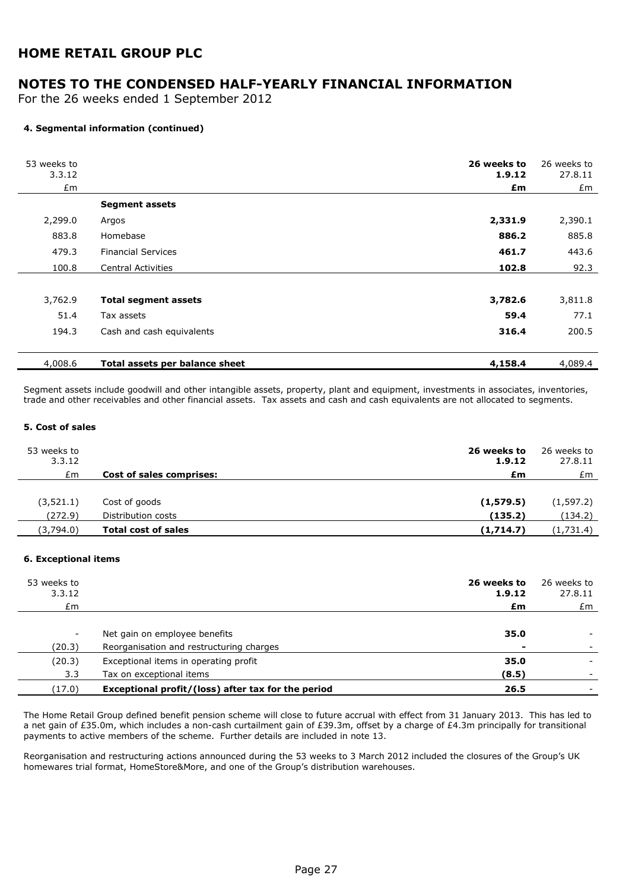## NOTES TO THE CONDENSED HALF-YEARLY FINANCIAL INFORMATION

For the 26 weeks ended 1 September 2012

#### 4. Segmental information (continued)

| 53 weeks to<br>3.3.12 |                                | 26 weeks to<br>1.9.12 | 26 weeks to<br>27.8.11 |
|-----------------------|--------------------------------|-----------------------|------------------------|
| £m                    |                                | £m                    | £m                     |
|                       | <b>Segment assets</b>          |                       |                        |
| 2,299.0               | Argos                          | 2,331.9               | 2,390.1                |
| 883.8                 | Homebase                       | 886.2                 | 885.8                  |
| 479.3                 | <b>Financial Services</b>      | 461.7                 | 443.6                  |
| 100.8                 | <b>Central Activities</b>      | 102.8                 | 92.3                   |
|                       |                                |                       |                        |
| 3,762.9               | <b>Total segment assets</b>    | 3,782.6               | 3,811.8                |
| 51.4                  | Tax assets                     | 59.4                  | 77.1                   |
| 194.3                 | Cash and cash equivalents      | 316.4                 | 200.5                  |
| 4,008.6               | Total assets per balance sheet | 4,158.4               | 4,089.4                |

Segment assets include goodwill and other intangible assets, property, plant and equipment, investments in associates, inventories, trade and other receivables and other financial assets. Tax assets and cash and cash equivalents are not allocated to segments.

#### 5. Cost of sales

| 53 weeks to<br>3.3.12 |                                 | 26 weeks to<br>1.9.12 | 26 weeks to<br>27.8.11 |
|-----------------------|---------------------------------|-----------------------|------------------------|
| £m                    | <b>Cost of sales comprises:</b> | £m                    | £m                     |
|                       |                                 |                       |                        |
| (3, 521.1)            | Cost of goods                   | (1,579.5)             | (1, 597.2)             |
| (272.9)               | Distribution costs              | (135.2)               | (134.2)                |
| (3,794.0)             | <b>Total cost of sales</b>      | (1,714.7)             | (1,731.4)              |

#### 6. Exceptional items

| 53 weeks to<br>3.3.12    |                                                    | 26 weeks to<br>1.9.12 | 26 weeks to<br>27.8.11 |
|--------------------------|----------------------------------------------------|-----------------------|------------------------|
| £m                       |                                                    | £m                    | £m                     |
|                          |                                                    |                       |                        |
| $\overline{\phantom{a}}$ | Net gain on employee benefits                      | 35.0                  |                        |
| (20.3)                   | Reorganisation and restructuring charges           |                       |                        |
| (20.3)                   | Exceptional items in operating profit              | 35.0                  |                        |
| 3.3                      | Tax on exceptional items                           | (8.5)                 |                        |
| (17.0)                   | Exceptional profit/(loss) after tax for the period | 26.5                  |                        |

The Home Retail Group defined benefit pension scheme will close to future accrual with effect from 31 January 2013. This has led to a net gain of £35.0m, which includes a non-cash curtailment gain of £39.3m, offset by a charge of £4.3m principally for transitional payments to active members of the scheme. Further details are included in note 13.

Reorganisation and restructuring actions announced during the 53 weeks to 3 March 2012 included the closures of the Group's UK homewares trial format, HomeStore&More, and one of the Group's distribution warehouses.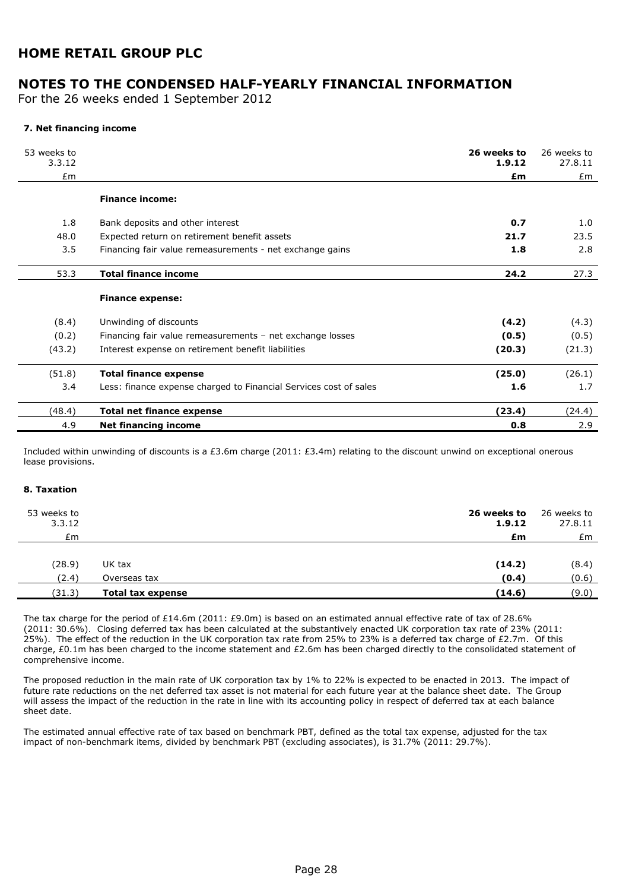## NOTES TO THE CONDENSED HALF-YEARLY FINANCIAL INFORMATION

For the 26 weeks ended 1 September 2012

#### 7. Net financing income

| 53 weeks to<br>3.3.12 |                                                                   | 26 weeks to<br>1.9.12 | 26 weeks to<br>27.8.11 |
|-----------------------|-------------------------------------------------------------------|-----------------------|------------------------|
| Em                    |                                                                   | £m                    | £m                     |
|                       | <b>Finance income:</b>                                            |                       |                        |
| 1.8                   | Bank deposits and other interest                                  | 0.7                   | 1.0                    |
| 48.0                  | Expected return on retirement benefit assets                      | 21.7                  | 23.5                   |
| 3.5                   | Financing fair value remeasurements - net exchange gains          | 1.8                   | 2.8                    |
| 53.3                  | <b>Total finance income</b>                                       | 24.2                  | 27.3                   |
|                       | <b>Finance expense:</b>                                           |                       |                        |
| (8.4)                 | Unwinding of discounts                                            | (4.2)                 | (4.3)                  |
| (0.2)                 | Financing fair value remeasurements - net exchange losses         | (0.5)                 | (0.5)                  |
| (43.2)                | Interest expense on retirement benefit liabilities                | (20.3)                | (21.3)                 |
| (51.8)                | <b>Total finance expense</b>                                      | (25.0)                | (26.1)                 |
| 3.4                   | Less: finance expense charged to Financial Services cost of sales | 1.6                   | 1.7                    |
| (48.4)                | <b>Total net finance expense</b>                                  | (23.4)                | (24.4)                 |
| 4.9                   | Net financing income                                              | 0.8                   | 2.9                    |

Included within unwinding of discounts is a £3.6m charge (2011: £3.4m) relating to the discount unwind on exceptional onerous lease provisions.

#### 8. Taxation

| 53 weeks to<br>3.3.12 |                          | 26 weeks to<br>1.9.12 | 26 weeks to<br>27.8.11 |
|-----------------------|--------------------------|-----------------------|------------------------|
| £m                    |                          | £m                    | £m                     |
|                       |                          |                       |                        |
| (28.9)                | UK tax                   | (14.2)                | (8.4)                  |
| (2.4)                 | Overseas tax             | (0.4)                 | (0.6)                  |
| (31.3)                | <b>Total tax expense</b> | (14.6)                | (9.0)                  |

The tax charge for the period of £14.6m (2011: £9.0m) is based on an estimated annual effective rate of tax of 28.6% (2011: 30.6%). Closing deferred tax has been calculated at the substantively enacted UK corporation tax rate of 23% (2011: 25%). The effect of the reduction in the UK corporation tax rate from 25% to 23% is a deferred tax charge of £2.7m. Of this charge, £0.1m has been charged to the income statement and £2.6m has been charged directly to the consolidated statement of comprehensive income.

The proposed reduction in the main rate of UK corporation tax by 1% to 22% is expected to be enacted in 2013. The impact of future rate reductions on the net deferred tax asset is not material for each future year at the balance sheet date. The Group will assess the impact of the reduction in the rate in line with its accounting policy in respect of deferred tax at each balance sheet date.

The estimated annual effective rate of tax based on benchmark PBT, defined as the total tax expense, adjusted for the tax impact of non-benchmark items, divided by benchmark PBT (excluding associates), is 31.7% (2011: 29.7%).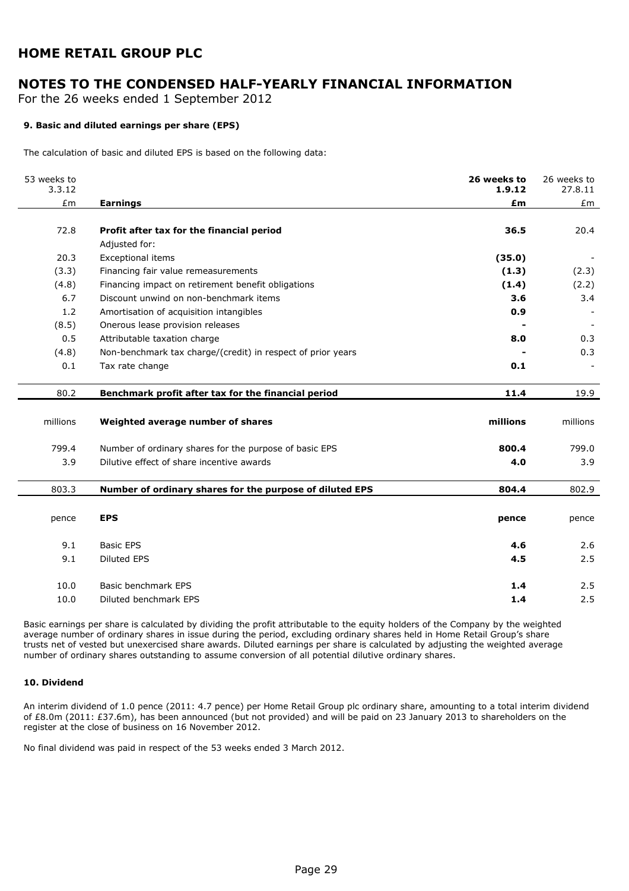# NOTES TO THE CONDENSED HALF-YEARLY FINANCIAL INFORMATION

For the 26 weeks ended 1 September 2012

#### 9. Basic and diluted earnings per share (EPS)

The calculation of basic and diluted EPS is based on the following data:

| 53 weeks to<br>3.3.12 |                                                             | 26 weeks to<br>1.9.12 | 26 weeks to<br>27.8.11 |
|-----------------------|-------------------------------------------------------------|-----------------------|------------------------|
| £m                    | <b>Earnings</b>                                             | £m                    | £m                     |
|                       |                                                             |                       |                        |
| 72.8                  | Profit after tax for the financial period                   | 36.5                  | 20.4                   |
|                       | Adjusted for:                                               |                       |                        |
| 20.3                  | Exceptional items                                           | (35.0)                |                        |
| (3.3)                 | Financing fair value remeasurements                         | (1.3)                 | (2.3)                  |
| (4.8)                 | Financing impact on retirement benefit obligations          | (1.4)                 | (2.2)                  |
| 6.7                   | Discount unwind on non-benchmark items                      | 3.6                   | 3.4                    |
| 1.2                   | Amortisation of acquisition intangibles                     | 0.9                   |                        |
| (8.5)                 | Onerous lease provision releases                            |                       |                        |
| 0.5                   | Attributable taxation charge                                | 8.0                   | 0.3                    |
| (4.8)                 | Non-benchmark tax charge/(credit) in respect of prior years |                       | 0.3                    |
| 0.1                   | Tax rate change                                             | 0.1                   |                        |
|                       |                                                             |                       |                        |
| 80.2                  | Benchmark profit after tax for the financial period         | 11.4                  | 19.9                   |
|                       |                                                             |                       |                        |
| millions              | Weighted average number of shares                           | millions              | millions               |
|                       |                                                             |                       |                        |
| 799.4                 | Number of ordinary shares for the purpose of basic EPS      | 800.4                 | 799.0                  |
| 3.9                   | Dilutive effect of share incentive awards                   | 4.0                   | 3.9                    |
|                       |                                                             |                       |                        |
| 803.3                 | Number of ordinary shares for the purpose of diluted EPS    | 804.4                 | 802.9                  |
|                       |                                                             |                       |                        |
| pence                 | <b>EPS</b>                                                  | pence                 | pence                  |
|                       |                                                             |                       |                        |
| 9.1                   | <b>Basic EPS</b>                                            | 4.6                   | 2.6                    |
| 9.1                   | <b>Diluted EPS</b>                                          | 4.5                   | 2.5                    |
|                       |                                                             |                       |                        |
| 10.0                  | Basic benchmark EPS                                         | 1.4                   | 2.5                    |
| 10.0                  | Diluted benchmark EPS                                       | 1.4                   | 2.5                    |

Basic earnings per share is calculated by dividing the profit attributable to the equity holders of the Company by the weighted average number of ordinary shares in issue during the period, excluding ordinary shares held in Home Retail Group's share trusts net of vested but unexercised share awards. Diluted earnings per share is calculated by adjusting the weighted average number of ordinary shares outstanding to assume conversion of all potential dilutive ordinary shares.

#### 10. Dividend

An interim dividend of 1.0 pence (2011: 4.7 pence) per Home Retail Group plc ordinary share, amounting to a total interim dividend of £8.0m (2011: £37.6m), has been announced (but not provided) and will be paid on 23 January 2013 to shareholders on the register at the close of business on 16 November 2012.

No final dividend was paid in respect of the 53 weeks ended 3 March 2012.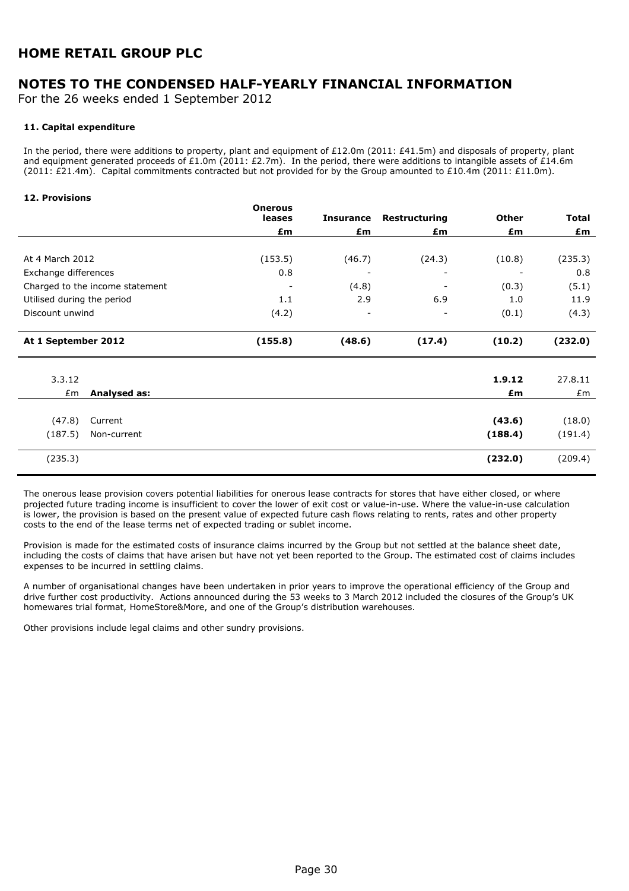# NOTES TO THE CONDENSED HALF-YEARLY FINANCIAL INFORMATION

For the 26 weeks ended 1 September 2012

#### 11. Capital expenditure

In the period, there were additions to property, plant and equipment of £12.0m (2011: £41.5m) and disposals of property, plant and equipment generated proceeds of £1.0m (2011: £2.7m). In the period, there were additions to intangible assets of £14.6m (2011: £21.4m). Capital commitments contracted but not provided for by the Group amounted to £10.4m (2011: £11.0m).

#### 12. Provisions

|                                 |              | <b>Onerous</b><br>leases | <b>Insurance</b>         | Restructuring            | Other   | <b>Total</b> |
|---------------------------------|--------------|--------------------------|--------------------------|--------------------------|---------|--------------|
|                                 |              | £m                       | £m                       | £m                       | £m      | £m           |
|                                 |              |                          |                          |                          |         |              |
| At 4 March 2012                 |              | (153.5)                  | (46.7)                   | (24.3)                   | (10.8)  | (235.3)      |
| Exchange differences            |              | 0.8                      |                          |                          |         | 0.8          |
| Charged to the income statement |              |                          | (4.8)                    |                          | (0.3)   | (5.1)        |
| Utilised during the period      |              | 1.1                      | 2.9                      | 6.9                      | 1.0     | 11.9         |
| Discount unwind                 |              | (4.2)                    | $\overline{\phantom{0}}$ | $\overline{\phantom{a}}$ | (0.1)   | (4.3)        |
| At 1 September 2012             |              | (155.8)                  | (48.6)                   | (17.4)                   | (10.2)  | (232.0)      |
| 3.3.12                          |              |                          |                          |                          | 1.9.12  | 27.8.11      |
| £m                              | Analysed as: |                          |                          |                          | £m      | £m           |
|                                 |              |                          |                          |                          |         |              |
| (47.8)                          | Current      |                          |                          |                          | (43.6)  | (18.0)       |
| (187.5)                         | Non-current  |                          |                          |                          | (188.4) | (191.4)      |

The onerous lease provision covers potential liabilities for onerous lease contracts for stores that have either closed, or where projected future trading income is insufficient to cover the lower of exit cost or value-in-use. Where the value-in-use calculation is lower, the provision is based on the present value of expected future cash flows relating to rents, rates and other property costs to the end of the lease terms net of expected trading or sublet income.

 $(235.3)$  (232.0) (209.4)

Provision is made for the estimated costs of insurance claims incurred by the Group but not settled at the balance sheet date, including the costs of claims that have arisen but have not yet been reported to the Group. The estimated cost of claims includes expenses to be incurred in settling claims.

A number of organisational changes have been undertaken in prior years to improve the operational efficiency of the Group and drive further cost productivity. Actions announced during the 53 weeks to 3 March 2012 included the closures of the Group's UK homewares trial format, HomeStore&More, and one of the Group's distribution warehouses.

Other provisions include legal claims and other sundry provisions.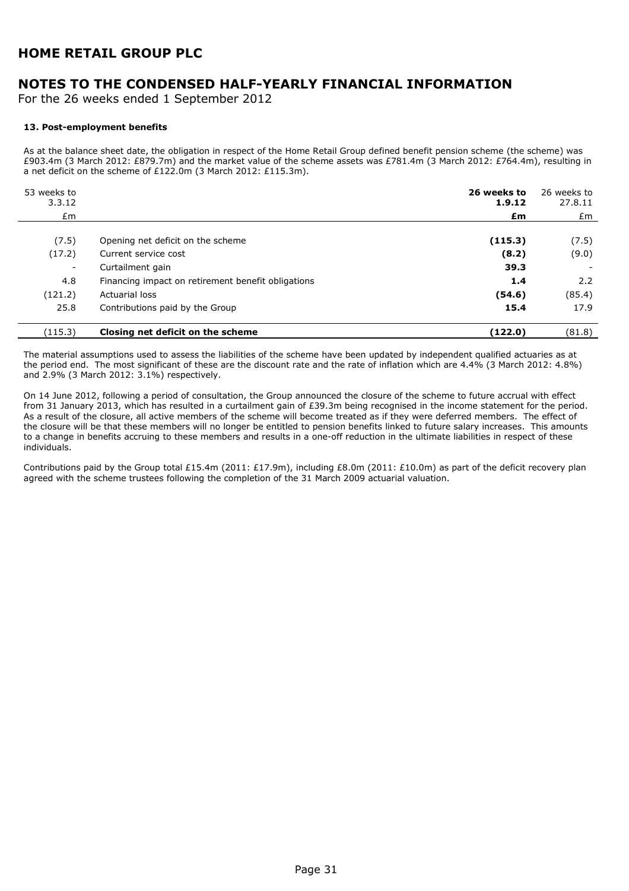# NOTES TO THE CONDENSED HALF-YEARLY FINANCIAL INFORMATION

For the 26 weeks ended 1 September 2012

#### 13. Post-employment benefits

As at the balance sheet date, the obligation in respect of the Home Retail Group defined benefit pension scheme (the scheme) was £903.4m (3 March 2012: £879.7m) and the market value of the scheme assets was £781.4m (3 March 2012: £764.4m), resulting in a net deficit on the scheme of £122.0m (3 March 2012: £115.3m).

| 53 weeks to<br>3.3.12    |                                                    | 26 weeks to<br>1.9.12 | 26 weeks to<br>27.8.11 |
|--------------------------|----------------------------------------------------|-----------------------|------------------------|
| £m                       |                                                    | £m                    | £m                     |
|                          |                                                    |                       |                        |
| (7.5)                    | Opening net deficit on the scheme                  | (115.3)               | (7.5)                  |
| (17.2)                   | Current service cost                               | (8.2)                 | (9.0)                  |
| $\overline{\phantom{a}}$ | Curtailment gain                                   | 39.3                  |                        |
| 4.8                      | Financing impact on retirement benefit obligations | 1.4                   | 2.2                    |
| (121.2)                  | Actuarial loss                                     | (54.6)                | (85.4)                 |
| 25.8                     | Contributions paid by the Group                    | 15.4                  | 17.9                   |
| (115.3)                  | Closing net deficit on the scheme                  | (122.0)               | (81.8)                 |

The material assumptions used to assess the liabilities of the scheme have been updated by independent qualified actuaries as at the period end. The most significant of these are the discount rate and the rate of inflation which are 4.4% (3 March 2012: 4.8%) and 2.9% (3 March 2012: 3.1%) respectively.

On 14 June 2012, following a period of consultation, the Group announced the closure of the scheme to future accrual with effect from 31 January 2013, which has resulted in a curtailment gain of £39.3m being recognised in the income statement for the period. As a result of the closure, all active members of the scheme will become treated as if they were deferred members. The effect of the closure will be that these members will no longer be entitled to pension benefits linked to future salary increases. This amounts to a change in benefits accruing to these members and results in a one-off reduction in the ultimate liabilities in respect of these individuals.

Contributions paid by the Group total £15.4m (2011: £17.9m), including £8.0m (2011: £10.0m) as part of the deficit recovery plan agreed with the scheme trustees following the completion of the 31 March 2009 actuarial valuation.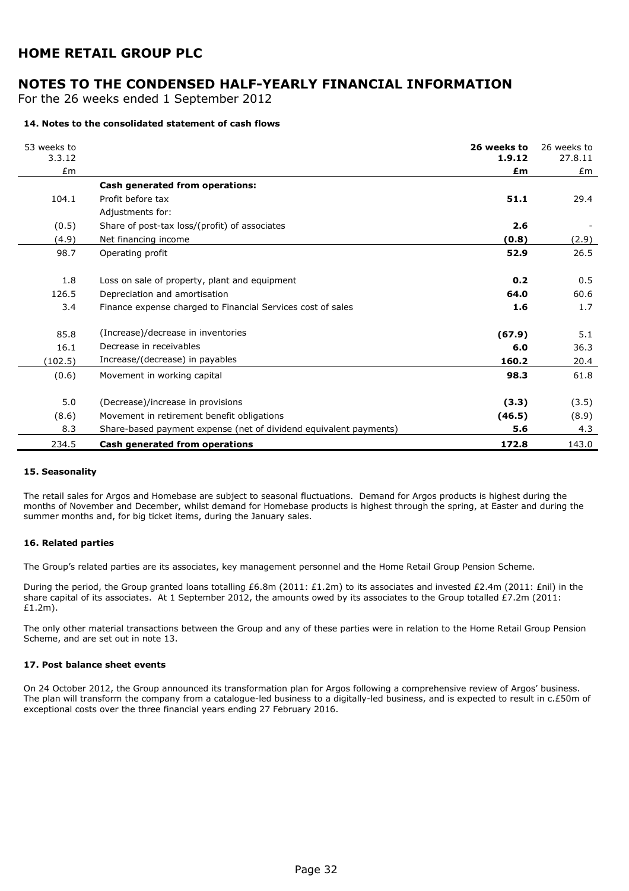## NOTES TO THE CONDENSED HALF-YEARLY FINANCIAL INFORMATION

For the 26 weeks ended 1 September 2012

#### 14. Notes to the consolidated statement of cash flows

| 53 weeks to<br>3.3.12 |                                                                   | 26 weeks to<br>1.9.12 | 26 weeks to<br>27.8.11 |
|-----------------------|-------------------------------------------------------------------|-----------------------|------------------------|
| Em                    |                                                                   | £m                    | Em                     |
|                       | Cash generated from operations:                                   |                       |                        |
| 104.1                 | Profit before tax                                                 | 51.1                  | 29.4                   |
|                       | Adjustments for:                                                  |                       |                        |
| (0.5)                 | Share of post-tax loss/(profit) of associates                     | 2.6                   |                        |
| (4.9)                 | Net financing income                                              | (0.8)                 | (2.9)                  |
| 98.7                  | Operating profit                                                  | 52.9                  | 26.5                   |
|                       |                                                                   |                       |                        |
| 1.8                   | Loss on sale of property, plant and equipment                     | 0.2                   | 0.5                    |
| 126.5                 | Depreciation and amortisation                                     | 64.0                  | 60.6                   |
| 3.4                   | Finance expense charged to Financial Services cost of sales       | 1.6                   | 1.7                    |
|                       |                                                                   |                       |                        |
| 85.8                  | (Increase)/decrease in inventories                                | (67.9)                | 5.1                    |
| 16.1                  | Decrease in receivables                                           | 6.0                   | 36.3                   |
| (102.5)               | Increase/(decrease) in payables                                   | 160.2                 | 20.4                   |
| (0.6)                 | Movement in working capital                                       | 98.3                  | 61.8                   |
|                       |                                                                   |                       |                        |
| 5.0                   | (Decrease)/increase in provisions                                 | (3.3)                 | (3.5)                  |
| (8.6)                 | Movement in retirement benefit obligations                        | (46.5)                | (8.9)                  |
| 8.3                   | Share-based payment expense (net of dividend equivalent payments) | 5.6                   | 4.3                    |
| 234.5                 | Cash generated from operations                                    | 172.8                 | 143.0                  |

#### 15. Seasonality

The retail sales for Argos and Homebase are subject to seasonal fluctuations. Demand for Argos products is highest during the months of November and December, whilst demand for Homebase products is highest through the spring, at Easter and during the summer months and, for big ticket items, during the January sales.

#### 16. Related parties

The Group's related parties are its associates, key management personnel and the Home Retail Group Pension Scheme.

During the period, the Group granted loans totalling £6.8m (2011: £1.2m) to its associates and invested £2.4m (2011: £nil) in the share capital of its associates. At 1 September 2012, the amounts owed by its associates to the Group totalled  $E7.2m$  (2011: £1.2m).

The only other material transactions between the Group and any of these parties were in relation to the Home Retail Group Pension Scheme, and are set out in note 13.

#### 17. Post balance sheet events

On 24 October 2012, the Group announced its transformation plan for Argos following a comprehensive review of Argos' business. The plan will transform the company from a catalogue-led business to a digitally-led business, and is expected to result in c.£50m of exceptional costs over the three financial years ending 27 February 2016.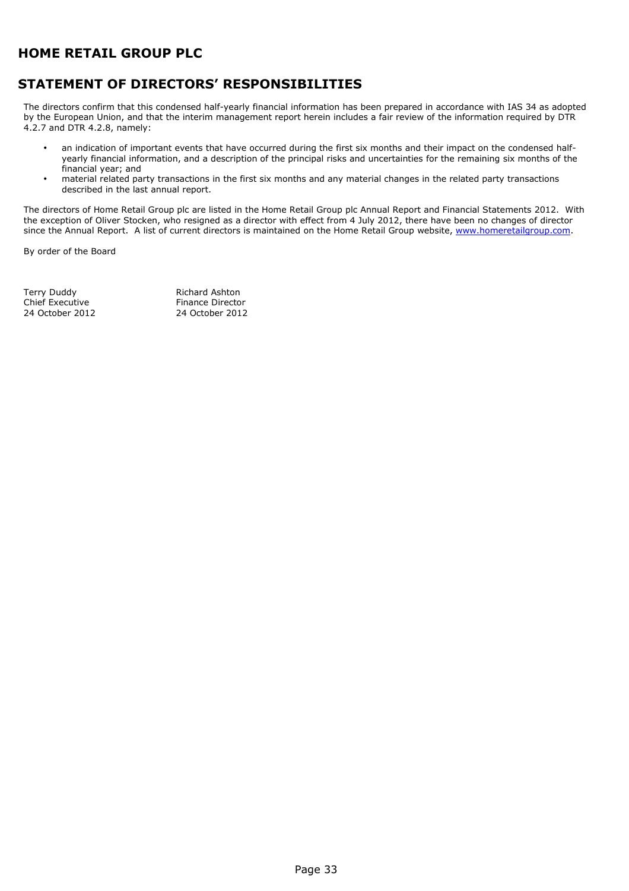# STATEMENT OF DIRECTORS' RESPONSIBILITIES

The directors confirm that this condensed half-yearly financial information has been prepared in accordance with IAS 34 as adopted by the European Union, and that the interim management report herein includes a fair review of the information required by DTR 4.2.7 and DTR 4.2.8, namely:

- an indication of important events that have occurred during the first six months and their impact on the condensed halfyearly financial information, and a description of the principal risks and uncertainties for the remaining six months of the financial year; and
- material related party transactions in the first six months and any material changes in the related party transactions described in the last annual report.

The directors of Home Retail Group plc are listed in the Home Retail Group plc Annual Report and Financial Statements 2012. With the exception of Oliver Stocken, who resigned as a director with effect from 4 July 2012, there have been no changes of director since the Annual Report. A list of current directors is maintained on the Home Retail Group website, www.homeretailgroup.com.

By order of the Board

Terry Duddy **Richard Ashton** Chief Executive Finance Director<br>
24 October 2012<br>
24 October 2012

24 October 2012